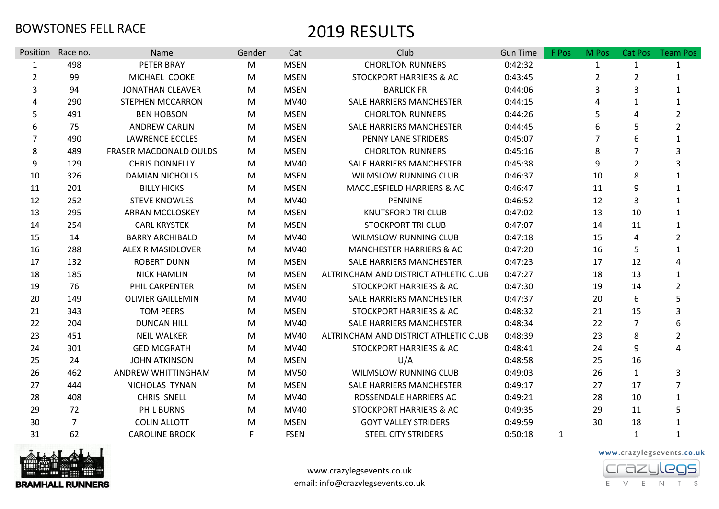| Position       | Race no.       | Name                     | Gender | Cat         | Club                                  | <b>Gun Time</b> | F Pos | M Pos          | Cat Pos        | <b>Team Pos</b> |
|----------------|----------------|--------------------------|--------|-------------|---------------------------------------|-----------------|-------|----------------|----------------|-----------------|
| $\mathbf{1}$   | 498            | PETER BRAY               | M      | <b>MSEN</b> | <b>CHORLTON RUNNERS</b>               | 0:42:32         |       | $\mathbf{1}$   | $\mathbf{1}$   |                 |
| $\overline{2}$ | 99             | MICHAEL COOKE            | M      | <b>MSEN</b> | STOCKPORT HARRIERS & AC               | 0:43:45         |       | $\overline{2}$ | $\overline{2}$ |                 |
| 3              | 94             | <b>JONATHAN CLEAVER</b>  | M      | <b>MSEN</b> | <b>BARLICK FR</b>                     | 0:44:06         |       | 3              | 3              | 1               |
| 4              | 290            | <b>STEPHEN MCCARRON</b>  | M      | <b>MV40</b> | <b>SALE HARRIERS MANCHESTER</b>       | 0:44:15         |       | Δ              | 1              |                 |
| 5              | 491            | <b>BEN HOBSON</b>        | M      | <b>MSEN</b> | <b>CHORLTON RUNNERS</b>               | 0:44:26         |       | 5              | 4              | $\overline{2}$  |
| 6              | 75             | <b>ANDREW CARLIN</b>     | M      | <b>MSEN</b> | SALE HARRIERS MANCHESTER              | 0:44:45         |       | 6              | 5              | $\overline{2}$  |
| 7              | 490            | <b>LAWRENCE ECCLES</b>   | M      | <b>MSEN</b> | PENNY LANE STRIDERS                   | 0:45:07         |       | 7              | 6              | $\mathbf{1}$    |
| 8              | 489            | FRASER MACDONALD OULDS   | M      | <b>MSEN</b> | <b>CHORLTON RUNNERS</b>               | 0:45:16         |       | 8              | 7              | 3               |
| 9              | 129            | <b>CHRIS DONNELLY</b>    | M      | <b>MV40</b> | SALE HARRIERS MANCHESTER              | 0:45:38         |       | 9              | $\overline{2}$ | 3               |
| 10             | 326            | <b>DAMIAN NICHOLLS</b>   | M      | <b>MSEN</b> | WILMSLOW RUNNING CLUB                 | 0:46:37         |       | 10             | 8              |                 |
| 11             | 201            | <b>BILLY HICKS</b>       | M      | <b>MSEN</b> | MACCLESFIELD HARRIERS & AC            | 0:46:47         |       | 11             | 9              |                 |
| 12             | 252            | <b>STEVE KNOWLES</b>     | M      | <b>MV40</b> | <b>PENNINE</b>                        | 0:46:52         |       | 12             | 3              | 1               |
| 13             | 295            | <b>ARRAN MCCLOSKEY</b>   | M      | <b>MSEN</b> | <b>KNUTSFORD TRI CLUB</b>             | 0:47:02         |       | 13             | 10             | 1               |
| 14             | 254            | <b>CARL KRYSTEK</b>      | M      | <b>MSEN</b> | <b>STOCKPORT TRI CLUB</b>             | 0:47:07         |       | 14             | 11             |                 |
| 15             | 14             | <b>BARRY ARCHIBALD</b>   | M      | <b>MV40</b> | WILMSLOW RUNNING CLUB                 | 0:47:18         |       | 15             | 4              | $\overline{2}$  |
| 16             | 288            | <b>ALEX R MASIDLOVER</b> | M      | <b>MV40</b> | <b>MANCHESTER HARRIERS &amp; AC</b>   | 0:47:20         |       | 16             | 5              |                 |
| 17             | 132            | <b>ROBERT DUNN</b>       | M      | <b>MSEN</b> | SALE HARRIERS MANCHESTER              | 0:47:23         |       | 17             | 12             | 4               |
| 18             | 185            | <b>NICK HAMLIN</b>       | M      | <b>MSEN</b> | ALTRINCHAM AND DISTRICT ATHLETIC CLUB | 0:47:27         |       | 18             | 13             | $\mathbf{1}$    |
| 19             | 76             | PHIL CARPENTER           | M      | <b>MSEN</b> | STOCKPORT HARRIERS & AC               | 0:47:30         |       | 19             | 14             | $\overline{2}$  |
| 20             | 149            | <b>OLIVIER GAILLEMIN</b> | M      | <b>MV40</b> | SALE HARRIERS MANCHESTER              | 0:47:37         |       | 20             | 6              | 5               |
| 21             | 343            | <b>TOM PEERS</b>         | M      | <b>MSEN</b> | <b>STOCKPORT HARRIERS &amp; AC</b>    | 0:48:32         |       | 21             | 15             | 3               |
| 22             | 204            | <b>DUNCAN HILL</b>       | M      | <b>MV40</b> | SALE HARRIERS MANCHESTER              | 0:48:34         |       | 22             | $\overline{7}$ | 6               |
| 23             | 451            | <b>NEIL WALKER</b>       | M      | <b>MV40</b> | ALTRINCHAM AND DISTRICT ATHLETIC CLUB | 0:48:39         |       | 23             | 8              | $\overline{2}$  |
| 24             | 301            | <b>GED MCGRATH</b>       | M      | <b>MV40</b> | <b>STOCKPORT HARRIERS &amp; AC</b>    | 0:48:41         |       | 24             | 9              | 4               |
| 25             | 24             | <b>JOHN ATKINSON</b>     | M      | <b>MSEN</b> | U/A                                   | 0:48:58         |       | 25             | 16             |                 |
| 26             | 462            | ANDREW WHITTINGHAM       | M      | <b>MV50</b> | WILMSLOW RUNNING CLUB                 | 0:49:03         |       | 26             | $\mathbf{1}$   | 3               |
| 27             | 444            | NICHOLAS TYNAN           | M      | <b>MSEN</b> | SALE HARRIERS MANCHESTER              | 0:49:17         |       | 27             | 17             | 7               |
| 28             | 408            | <b>CHRIS SNELL</b>       | M      | <b>MV40</b> | ROSSENDALE HARRIERS AC                | 0:49:21         |       | 28             | 10             | $\mathbf{1}$    |
| 29             | 72             | <b>PHIL BURNS</b>        | M      | <b>MV40</b> | STOCKPORT HARRIERS & AC               | 0:49:35         |       | 29             | 11             | 5               |
| 30             | $\overline{7}$ | <b>COLIN ALLOTT</b>      | M      | <b>MSEN</b> | <b>GOYT VALLEY STRIDERS</b>           | 0:49:59         |       | 30             | 18             | $\mathbf{1}$    |
| 31             | 62             | <b>CAROLINE BROCK</b>    | F      | <b>FSEN</b> | <b>STEEL CITY STRIDERS</b>            | 0:50:18         | 1     |                | 1              | 1               |



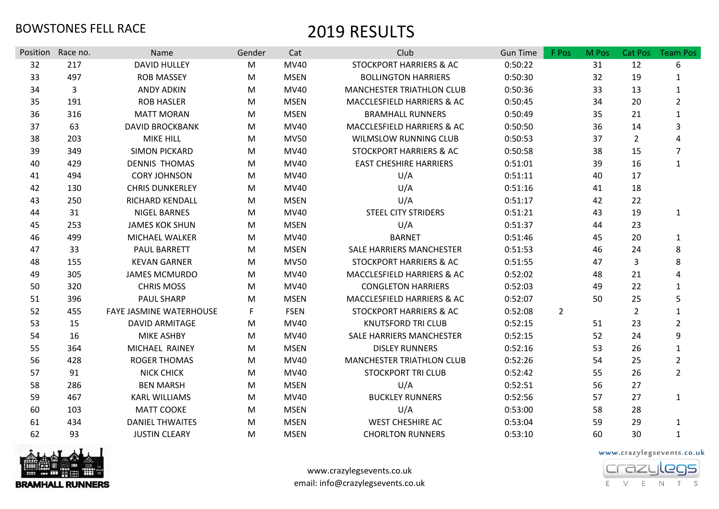| Position | Race no. | Name                           | Gender | Cat         | Club                               | <b>Gun Time</b> | F Pos          | M Pos | Cat Pos        | <b>Team Pos</b> |
|----------|----------|--------------------------------|--------|-------------|------------------------------------|-----------------|----------------|-------|----------------|-----------------|
| 32       | 217      | <b>DAVID HULLEY</b>            | M      | <b>MV40</b> | <b>STOCKPORT HARRIERS &amp; AC</b> | 0:50:22         |                | 31    | 12             | 6               |
| 33       | 497      | <b>ROB MASSEY</b>              | M      | <b>MSEN</b> | <b>BOLLINGTON HARRIERS</b>         | 0:50:30         |                | 32    | 19             | 1               |
| 34       | 3        | <b>ANDY ADKIN</b>              | M      | <b>MV40</b> | <b>MANCHESTER TRIATHLON CLUB</b>   | 0:50:36         |                | 33    | 13             | $\mathbf{1}$    |
| 35       | 191      | <b>ROB HASLER</b>              | M      | <b>MSEN</b> | MACCLESFIELD HARRIERS & AC         | 0:50:45         |                | 34    | 20             | $\overline{2}$  |
| 36       | 316      | <b>MATT MORAN</b>              | M      | <b>MSEN</b> | <b>BRAMHALL RUNNERS</b>            | 0:50:49         |                | 35    | 21             | $\mathbf{1}$    |
| 37       | 63       | <b>DAVID BROCKBANK</b>         | M      | <b>MV40</b> | MACCLESFIELD HARRIERS & AC         | 0:50:50         |                | 36    | 14             | 3               |
| 38       | 203      | <b>MIKE HILL</b>               | M      | <b>MV50</b> | WILMSLOW RUNNING CLUB              | 0:50:53         |                | 37    | 2              | Λ               |
| 39       | 349      | <b>SIMON PICKARD</b>           | M      | <b>MV40</b> | <b>STOCKPORT HARRIERS &amp; AC</b> | 0:50:58         |                | 38    | 15             | $\overline{7}$  |
| 40       | 429      | <b>DENNIS THOMAS</b>           | M      | <b>MV40</b> | <b>EAST CHESHIRE HARRIERS</b>      | 0:51:01         |                | 39    | 16             | $\mathbf{1}$    |
| 41       | 494      | <b>CORY JOHNSON</b>            | M      | MV40        | U/A                                | 0:51:11         |                | 40    | 17             |                 |
| 42       | 130      | <b>CHRIS DUNKERLEY</b>         | M      | MV40        | U/A                                | 0:51:16         |                | 41    | 18             |                 |
| 43       | 250      | RICHARD KENDALL                | M      | <b>MSEN</b> | U/A                                | 0:51:17         |                | 42    | 22             |                 |
| 44       | 31       | <b>NIGEL BARNES</b>            | M      | <b>MV40</b> | <b>STEEL CITY STRIDERS</b>         | 0:51:21         |                | 43    | 19             | 1               |
| 45       | 253      | <b>JAMES KOK SHUN</b>          | M      | <b>MSEN</b> | U/A                                | 0:51:37         |                | 44    | 23             |                 |
| 46       | 499      | MICHAEL WALKER                 | M      | <b>MV40</b> | <b>BARNET</b>                      | 0:51:46         |                | 45    | 20             | $\mathbf{1}$    |
| 47       | 33       | <b>PAUL BARRETT</b>            | M      | <b>MSEN</b> | <b>SALE HARRIERS MANCHESTER</b>    | 0:51:53         |                | 46    | 24             | 8               |
| 48       | 155      | <b>KEVAN GARNER</b>            | M      | <b>MV50</b> | <b>STOCKPORT HARRIERS &amp; AC</b> | 0:51:55         |                | 47    | 3              | 8               |
| 49       | 305      | <b>JAMES MCMURDO</b>           | M      | <b>MV40</b> | MACCLESFIELD HARRIERS & AC         | 0:52:02         |                | 48    | 21             | 4               |
| 50       | 320      | <b>CHRIS MOSS</b>              | M      | <b>MV40</b> | <b>CONGLETON HARRIERS</b>          | 0:52:03         |                | 49    | 22             | $\mathbf{1}$    |
| 51       | 396      | <b>PAUL SHARP</b>              | M      | <b>MSEN</b> | MACCLESFIELD HARRIERS & AC         | 0:52:07         |                | 50    | 25             | 5               |
| 52       | 455      | <b>FAYE JASMINE WATERHOUSE</b> | F.     | <b>FSEN</b> | <b>STOCKPORT HARRIERS &amp; AC</b> | 0:52:08         | $\overline{2}$ |       | $\overline{2}$ | $\mathbf{1}$    |
| 53       | 15       | <b>DAVID ARMITAGE</b>          | M      | <b>MV40</b> | <b>KNUTSFORD TRI CLUB</b>          | 0:52:15         |                | 51    | 23             | $\overline{2}$  |
| 54       | 16       | <b>MIKE ASHBY</b>              | M      | <b>MV40</b> | SALE HARRIERS MANCHESTER           | 0:52:15         |                | 52    | 24             | 9               |
| 55       | 364      | MICHAEL RAINEY                 | M      | <b>MSEN</b> | <b>DISLEY RUNNERS</b>              | 0:52:16         |                | 53    | 26             | $\mathbf{1}$    |
| 56       | 428      | <b>ROGER THOMAS</b>            | M      | <b>MV40</b> | <b>MANCHESTER TRIATHLON CLUB</b>   | 0:52:26         |                | 54    | 25             | $\overline{2}$  |
| 57       | 91       | <b>NICK CHICK</b>              | M      | <b>MV40</b> | <b>STOCKPORT TRI CLUB</b>          | 0:52:42         |                | 55    | 26             | $\overline{2}$  |
| 58       | 286      | <b>BEN MARSH</b>               | M      | <b>MSEN</b> | U/A                                | 0:52:51         |                | 56    | 27             |                 |
| 59       | 467      | <b>KARL WILLIAMS</b>           | M      | MV40        | <b>BUCKLEY RUNNERS</b>             | 0:52:56         |                | 57    | 27             | $\mathbf{1}$    |
| 60       | 103      | <b>MATT COOKE</b>              | M      | <b>MSEN</b> | U/A                                | 0:53:00         |                | 58    | 28             |                 |
| 61       | 434      | <b>DANIEL THWAITES</b>         | M      | <b>MSEN</b> | <b>WEST CHESHIRE AC</b>            | 0:53:04         |                | 59    | 29             | 1               |
| 62       | 93       | <b>JUSTIN CLEARY</b>           | M      | <b>MSEN</b> | <b>CHORLTON RUNNERS</b>            | 0:53:10         |                | 60    | 30             | $\mathbf{1}$    |



www.crazylegsevents.co.uk email: info@crazylegsevents.co.uk

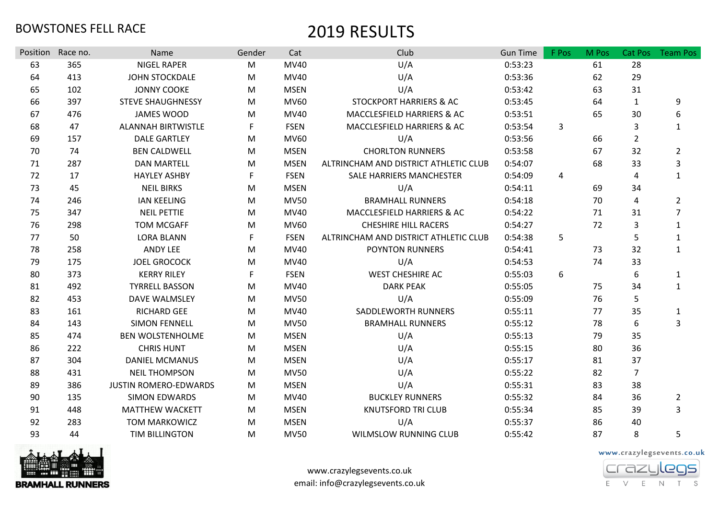| Position | Race no. | <b>Name</b>                  | Gender | Cat         | Club                                  | <b>Gun Time</b> | F Pos          | M Pos | Cat Pos        | <b>Team Pos</b> |
|----------|----------|------------------------------|--------|-------------|---------------------------------------|-----------------|----------------|-------|----------------|-----------------|
| 63       | 365      | <b>NIGEL RAPER</b>           | M      | <b>MV40</b> | U/A                                   | 0:53:23         |                | 61    | 28             |                 |
| 64       | 413      | <b>JOHN STOCKDALE</b>        | M      | MV40        | U/A                                   | 0:53:36         |                | 62    | 29             |                 |
| 65       | 102      | <b>JONNY COOKE</b>           | M      | <b>MSEN</b> | U/A                                   | 0:53:42         |                | 63    | 31             |                 |
| 66       | 397      | <b>STEVE SHAUGHNESSY</b>     | M      | <b>MV60</b> | <b>STOCKPORT HARRIERS &amp; AC</b>    | 0:53:45         |                | 64    | $\mathbf{1}$   | 9               |
| 67       | 476      | <b>JAMES WOOD</b>            | M      | MV40        | MACCLESFIELD HARRIERS & AC            | 0:53:51         |                | 65    | 30             | 6               |
| 68       | 47       | <b>ALANNAH BIRTWISTLE</b>    | F.     | <b>FSEN</b> | MACCLESFIELD HARRIERS & AC            | 0:53:54         | $\overline{3}$ |       | 3              | $\mathbf{1}$    |
| 69       | 157      | <b>DALE GARTLEY</b>          | M      | MV60        | U/A                                   | 0:53:56         |                | 66    | $\overline{2}$ |                 |
| 70       | 74       | <b>BEN CALDWELL</b>          | M      | <b>MSEN</b> | <b>CHORLTON RUNNERS</b>               | 0:53:58         |                | 67    | 32             | $\overline{2}$  |
| 71       | 287      | <b>DAN MARTELL</b>           | M      | <b>MSEN</b> | ALTRINCHAM AND DISTRICT ATHLETIC CLUB | 0:54:07         |                | 68    | 33             | 3               |
| 72       | 17       | <b>HAYLEY ASHBY</b>          | F      | <b>FSEN</b> | SALE HARRIERS MANCHESTER              | 0:54:09         | $\overline{4}$ |       | 4              | $\mathbf{1}$    |
| 73       | 45       | <b>NEIL BIRKS</b>            | M      | <b>MSEN</b> | U/A                                   | 0:54:11         |                | 69    | 34             |                 |
| 74       | 246      | <b>IAN KEELING</b>           | M      | <b>MV50</b> | <b>BRAMHALL RUNNERS</b>               | 0:54:18         |                | 70    | 4              | $\overline{2}$  |
| 75       | 347      | <b>NEIL PETTIE</b>           | M      | MV40        | MACCLESFIELD HARRIERS & AC            | 0:54:22         |                | 71    | 31             | $\overline{7}$  |
| 76       | 298      | <b>TOM MCGAFF</b>            | M      | MV60        | <b>CHESHIRE HILL RACERS</b>           | 0:54:27         |                | 72    | 3              | $\mathbf{1}$    |
| 77       | 50       | <b>LORA BLANN</b>            | F.     | <b>FSEN</b> | ALTRINCHAM AND DISTRICT ATHLETIC CLUB | 0:54:38         | 5              |       | 5              | $\mathbf{1}$    |
| 78       | 258      | ANDY LEE                     | M      | MV40        | <b>POYNTON RUNNERS</b>                | 0:54:41         |                | 73    | 32             | $\mathbf{1}$    |
| 79       | 175      | <b>JOEL GROCOCK</b>          | M      | MV40        | U/A                                   | 0:54:53         |                | 74    | 33             |                 |
| 80       | 373      | <b>KERRY RILEY</b>           | F      | <b>FSEN</b> | <b>WEST CHESHIRE AC</b>               | 0:55:03         | 6              |       | 6              | $\mathbf{1}$    |
| 81       | 492      | <b>TYRRELL BASSON</b>        | M      | MV40        | <b>DARK PEAK</b>                      | 0:55:05         |                | 75    | 34             | $\mathbf{1}$    |
| 82       | 453      | DAVE WALMSLEY                | M      | <b>MV50</b> | U/A                                   | 0:55:09         |                | 76    | 5              |                 |
| 83       | 161      | <b>RICHARD GEE</b>           | M      | MV40        | SADDLEWORTH RUNNERS                   | 0:55:11         |                | 77    | 35             | $\mathbf{1}$    |
| 84       | 143      | <b>SIMON FENNELL</b>         | M      | <b>MV50</b> | <b>BRAMHALL RUNNERS</b>               | 0:55:12         |                | 78    | 6              | 3               |
| 85       | 474      | <b>BEN WOLSTENHOLME</b>      | M      | <b>MSEN</b> | U/A                                   | 0:55:13         |                | 79    | 35             |                 |
| 86       | 222      | <b>CHRIS HUNT</b>            | M      | <b>MSEN</b> | U/A                                   | 0:55:15         |                | 80    | 36             |                 |
| 87       | 304      | <b>DANIEL MCMANUS</b>        | M      | <b>MSEN</b> | U/A                                   | 0:55:17         |                | 81    | 37             |                 |
| 88       | 431      | <b>NEIL THOMPSON</b>         | M      | <b>MV50</b> | U/A                                   | 0:55:22         |                | 82    | $\overline{7}$ |                 |
| 89       | 386      | <b>JUSTIN ROMERO-EDWARDS</b> | M      | <b>MSEN</b> | U/A                                   | 0:55:31         |                | 83    | 38             |                 |
| 90       | 135      | <b>SIMON EDWARDS</b>         | M      | MV40        | <b>BUCKLEY RUNNERS</b>                | 0:55:32         |                | 84    | 36             | $\overline{2}$  |
| 91       | 448      | <b>MATTHEW WACKETT</b>       | M      | <b>MSEN</b> | <b>KNUTSFORD TRI CLUB</b>             | 0:55:34         |                | 85    | 39             | 3               |
| 92       | 283      | <b>TOM MARKOWICZ</b>         | M      | <b>MSEN</b> | U/A                                   | 0:55:37         |                | 86    | 40             |                 |
| 93       | 44       | TIM BILLINGTON               | M      | <b>MV50</b> | <b>WILMSLOW RUNNING CLUB</b>          | 0:55:42         |                | 87    | 8              | 5               |



www.crazylegsevents.co.uk email: info@crazylegsevents.co.uk

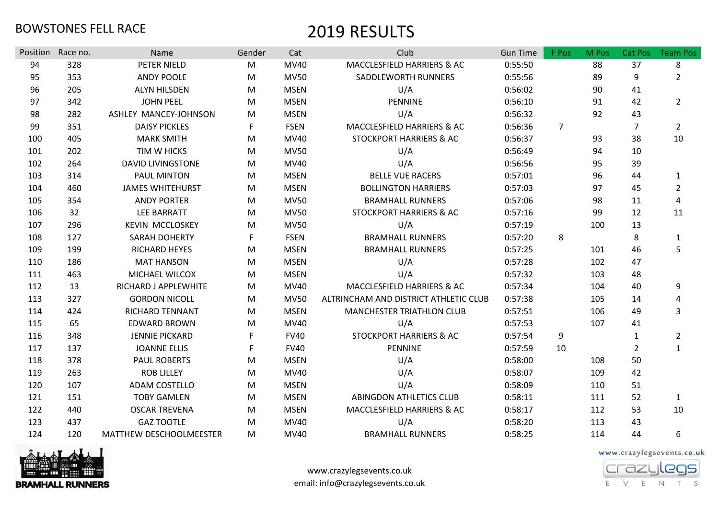| Position | Race no. | Name                     | Gender    | Cat         | Club                                  | <b>Gun Time</b> | F Pos          | M Pos | Cat Pos        | <b>Team Pos</b> |
|----------|----------|--------------------------|-----------|-------------|---------------------------------------|-----------------|----------------|-------|----------------|-----------------|
| 94       | 328      | PETER NIELD              | M         | <b>MV40</b> | MACCLESFIELD HARRIERS & AC            | 0:55:50         |                | 88    | 37             | 8               |
| 95       | 353      | <b>ANDY POOLE</b>        | ${\sf M}$ | <b>MV50</b> | SADDLEWORTH RUNNERS                   | 0:55:56         |                | 89    | 9              | $\overline{2}$  |
| 96       | 205      | <b>ALYN HILSDEN</b>      | ${\sf M}$ | <b>MSEN</b> | U/A                                   | 0:56:02         |                | 90    | 41             |                 |
| 97       | 342      | <b>JOHN PEEL</b>         | M         | <b>MSEN</b> | PENNINE                               | 0:56:10         |                | 91    | 42             | $2^{\circ}$     |
| 98       | 282      | ASHLEY MANCEY-JOHNSON    | М         | <b>MSEN</b> | U/A                                   | 0:56:32         |                | 92    | 43             |                 |
| 99       | 351      | <b>DAISY PICKLES</b>     | F         | <b>FSEN</b> | MACCLESFIELD HARRIERS & AC            | 0:56:36         | $\overline{7}$ |       | $\overline{7}$ | $\overline{2}$  |
| 100      | 405      | <b>MARK SMITH</b>        | M         | MV40        | STOCKPORT HARRIERS & AC               | 0:56:37         |                | 93    | 38             | 10              |
| 101      | 202      | TIM W HICKS              | M         | <b>MV50</b> | U/A                                   | 0:56:49         |                | 94    | 10             |                 |
| 102      | 264      | <b>DAVID LIVINGSTONE</b> | M         | MV40        | U/A                                   | 0:56:56         |                | 95    | 39             |                 |
| 103      | 314      | <b>PAUL MINTON</b>       | M         | <b>MSEN</b> | <b>BELLE VUE RACERS</b>               | 0:57:01         |                | 96    | 44             | 1               |
| 104      | 460      | <b>JAMES WHITEHURST</b>  | M         | <b>MSEN</b> | <b>BOLLINGTON HARRIERS</b>            | 0:57:03         |                | 97    | 45             | $\overline{2}$  |
| 105      | 354      | <b>ANDY PORTER</b>       | M         | <b>MV50</b> | <b>BRAMHALL RUNNERS</b>               | 0:57:06         |                | 98    | 11             | 4               |
| 106      | 32       | LEE BARRATT              | M         | <b>MV50</b> | <b>STOCKPORT HARRIERS &amp; AC</b>    | 0:57:16         |                | 99    | 12             | 11              |
| 107      | 296      | <b>KEVIN MCCLOSKEY</b>   | М         | <b>MV50</b> | U/A                                   | 0:57:19         |                | 100   | 13             |                 |
| 108      | 127      | <b>SARAH DOHERTY</b>     | F         | <b>FSEN</b> | <b>BRAMHALL RUNNERS</b>               | 0:57:20         | 8              |       | 8              | 1               |
| 109      | 199      | <b>RICHARD HEYES</b>     | M         | <b>MSEN</b> | <b>BRAMHALL RUNNERS</b>               | 0:57:25         |                | 101   | 46             | 5               |
| 110      | 186      | <b>MAT HANSON</b>        | ${\sf M}$ | <b>MSEN</b> | U/A                                   | 0:57:28         |                | 102   | 47             |                 |
| 111      | 463      | MICHAEL WILCOX           | M         | <b>MSEN</b> | U/A                                   | 0:57:32         |                | 103   | 48             |                 |
| 112      | 13       | RICHARD J APPLEWHITE     | M         | MV40        | MACCLESFIELD HARRIERS & AC            | 0:57:34         |                | 104   | 40             | 9               |
| 113      | 327      | <b>GORDON NICOLL</b>     | ${\sf M}$ | <b>MV50</b> | ALTRINCHAM AND DISTRICT ATHLETIC CLUB | 0:57:38         |                | 105   | 14             | 4               |
| 114      | 424      | <b>RICHARD TENNANT</b>   | M         | <b>MSEN</b> | MANCHESTER TRIATHLON CLUB             | 0:57:51         |                | 106   | 49             | 3               |
| 115      | 65       | <b>EDWARD BROWN</b>      | M         | <b>MV40</b> | U/A                                   | 0:57:53         |                | 107   | 41             |                 |
| 116      | 348      | <b>JENNIE PICKARD</b>    |           | <b>FV40</b> | STOCKPORT HARRIERS & AC               | 0:57:54         | 9              |       | $\mathbf 1$    | $\overline{2}$  |
| 117      | 137      | <b>JOANNE ELLIS</b>      |           | <b>FV40</b> | PENNINE                               | 0:57:59         | 10             |       | $\overline{2}$ | $\mathbf{1}$    |
| 118      | 378      | <b>PAUL ROBERTS</b>      | M         | <b>MSEN</b> | U/A                                   | 0:58:00         |                | 108   | 50             |                 |
| 119      | 263      | <b>ROB LILLEY</b>        | M         | MV40        | U/A                                   | 0:58:07         |                | 109   | 42             |                 |
| 120      | 107      | ADAM COSTELLO            | M         | <b>MSEN</b> | U/A                                   | 0:58:09         |                | 110   | 51             |                 |
| 121      | 151      | <b>TOBY GAMLEN</b>       | M         | <b>MSEN</b> | <b>ABINGDON ATHLETICS CLUB</b>        | 0:58:11         |                | 111   | 52             | $\mathbf{1}$    |
| 122      | 440      | <b>OSCAR TREVENA</b>     | M         | <b>MSEN</b> | MACCLESFIELD HARRIERS & AC            | 0:58:17         |                | 112   | 53             | 10              |
| 123      | 437      | <b>GAZ TOOTLE</b>        | М         | MV40        | U/A                                   | 0:58:20         |                | 113   | 43             |                 |
| 124      | 120      | MATTHEW DESCHOOLMEESTER  | М         | MV40        | <b>BRAMHALL RUNNERS</b>               | 0:58:25         |                | 114   | 44             | 6               |



www.crazylegsevents.co.uk email: info@crazylegsevents.co.uk

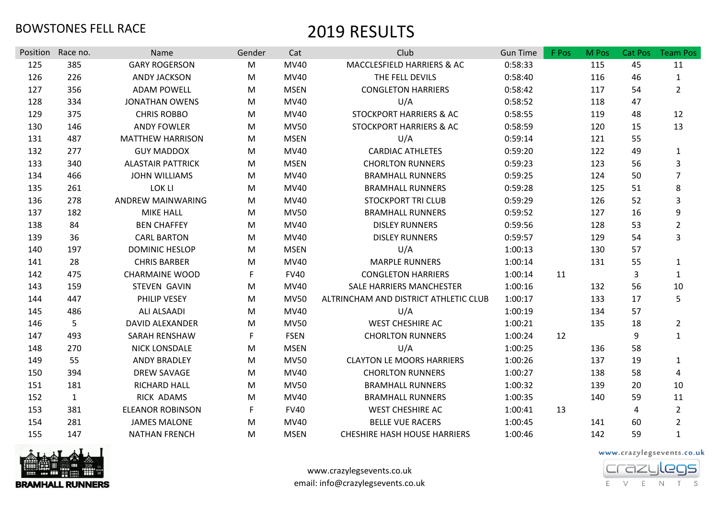| Position | Race no.     | Name                     | Gender | Cat         | Club                                  | <b>Gun Time</b> | F Pos | M Pos | Cat Pos | <b>Team Pos</b> |
|----------|--------------|--------------------------|--------|-------------|---------------------------------------|-----------------|-------|-------|---------|-----------------|
| 125      | 385          | <b>GARY ROGERSON</b>     | M      | MV40        | MACCLESFIELD HARRIERS & AC            | 0:58:33         |       | 115   | 45      | 11              |
| 126      | 226          | <b>ANDY JACKSON</b>      | M      | MV40        | THE FELL DEVILS                       | 0:58:40         |       | 116   | 46      | $\mathbf{1}$    |
| 127      | 356          | <b>ADAM POWELL</b>       | M      | <b>MSEN</b> | <b>CONGLETON HARRIERS</b>             | 0:58:42         |       | 117   | 54      | $\overline{2}$  |
| 128      | 334          | <b>JONATHAN OWENS</b>    | M      | MV40        | U/A                                   | 0:58:52         |       | 118   | 47      |                 |
| 129      | 375          | <b>CHRIS ROBBO</b>       | M      | MV40        | <b>STOCKPORT HARRIERS &amp; AC</b>    | 0:58:55         |       | 119   | 48      | 12              |
| 130      | 146          | <b>ANDY FOWLER</b>       | M      | <b>MV50</b> | <b>STOCKPORT HARRIERS &amp; AC</b>    | 0:58:59         |       | 120   | 15      | 13              |
| 131      | 487          | <b>MATTHEW HARRISON</b>  | M      | <b>MSEN</b> | U/A                                   | 0:59:14         |       | 121   | 55      |                 |
| 132      | 277          | <b>GUY MADDOX</b>        | M      | MV40        | <b>CARDIAC ATHLETES</b>               | 0:59:20         |       | 122   | 49      | $\mathbf{1}$    |
| 133      | 340          | <b>ALASTAIR PATTRICK</b> | M      | <b>MSEN</b> | <b>CHORLTON RUNNERS</b>               | 0:59:23         |       | 123   | 56      | 3               |
| 134      | 466          | <b>JOHN WILLIAMS</b>     | M      | MV40        | <b>BRAMHALL RUNNERS</b>               | 0:59:25         |       | 124   | 50      | $\overline{7}$  |
| 135      | 261          | LOK LI                   | M      | MV40        | <b>BRAMHALL RUNNERS</b>               | 0:59:28         |       | 125   | 51      | 8               |
| 136      | 278          | ANDREW MAINWARING        | M      | MV40        | <b>STOCKPORT TRI CLUB</b>             | 0:59:29         |       | 126   | 52      | 3               |
| 137      | 182          | <b>MIKE HALL</b>         | M      | <b>MV50</b> | <b>BRAMHALL RUNNERS</b>               | 0:59:52         |       | 127   | 16      | 9               |
| 138      | 84           | <b>BEN CHAFFEY</b>       | M      | MV40        | <b>DISLEY RUNNERS</b>                 | 0:59:56         |       | 128   | 53      | $\overline{2}$  |
| 139      | 36           | <b>CARL BARTON</b>       | M      | MV40        | <b>DISLEY RUNNERS</b>                 | 0:59:57         |       | 129   | 54      | 3               |
| 140      | 197          | <b>DOMINIC HESLOP</b>    | M      | <b>MSEN</b> | U/A                                   | 1:00:13         |       | 130   | 57      |                 |
| 141      | 28           | <b>CHRIS BARBER</b>      | M      | MV40        | <b>MARPLE RUNNERS</b>                 | 1:00:14         |       | 131   | 55      | $\mathbf{1}$    |
| 142      | 475          | <b>CHARMAINE WOOD</b>    | F      | <b>FV40</b> | <b>CONGLETON HARRIERS</b>             | 1:00:14         | 11    |       | 3       | $\mathbf{1}$    |
| 143      | 159          | <b>STEVEN GAVIN</b>      | M      | MV40        | <b>SALE HARRIERS MANCHESTER</b>       | 1:00:16         |       | 132   | 56      | 10              |
| 144      | 447          | PHILIP VESEY             | M      | <b>MV50</b> | ALTRINCHAM AND DISTRICT ATHLETIC CLUB | 1:00:17         |       | 133   | 17      | 5               |
| 145      | 486          | ALI ALSAADI              | M      | MV40        | U/A                                   | 1:00:19         |       | 134   | 57      |                 |
| 146      | 5            | <b>DAVID ALEXANDER</b>   | M      | <b>MV50</b> | <b>WEST CHESHIRE AC</b>               | 1:00:21         |       | 135   | 18      | $\overline{a}$  |
| 147      | 493          | SARAH RENSHAW            | F      | <b>FSEN</b> | <b>CHORLTON RUNNERS</b>               | 1:00:24         | 12    |       | 9       | $\mathbf{1}$    |
| 148      | 270          | NICK LONSDALE            | M      | <b>MSEN</b> | U/A                                   | 1:00:25         |       | 136   | 58      |                 |
| 149      | 55           | <b>ANDY BRADLEY</b>      | M      | <b>MV50</b> | <b>CLAYTON LE MOORS HARRIERS</b>      | 1:00:26         |       | 137   | 19      | $\mathbf{1}$    |
| 150      | 394          | <b>DREW SAVAGE</b>       | M      | MV40        | <b>CHORLTON RUNNERS</b>               | 1:00:27         |       | 138   | 58      | 4               |
| 151      | 181          | RICHARD HALL             | M      | <b>MV50</b> | <b>BRAMHALL RUNNERS</b>               | 1:00:32         |       | 139   | 20      | 10              |
| 152      | $\mathbf{1}$ | RICK ADAMS               | M      | MV40        | <b>BRAMHALL RUNNERS</b>               | 1:00:35         |       | 140   | 59      | 11              |
| 153      | 381          | <b>ELEANOR ROBINSON</b>  | F      | <b>FV40</b> | <b>WEST CHESHIRE AC</b>               | 1:00:41         | 13    |       | 4       | $\overline{2}$  |
| 154      | 281          | <b>JAMES MALONE</b>      | M      | MV40        | <b>BELLE VUE RACERS</b>               | 1:00:45         |       | 141   | 60      | $\overline{2}$  |
| 155      | 147          | <b>NATHAN FRENCH</b>     | M      | <b>MSEN</b> | <b>CHESHIRE HASH HOUSE HARRIERS</b>   | 1:00:46         |       | 142   | 59      | $\mathbf{1}$    |



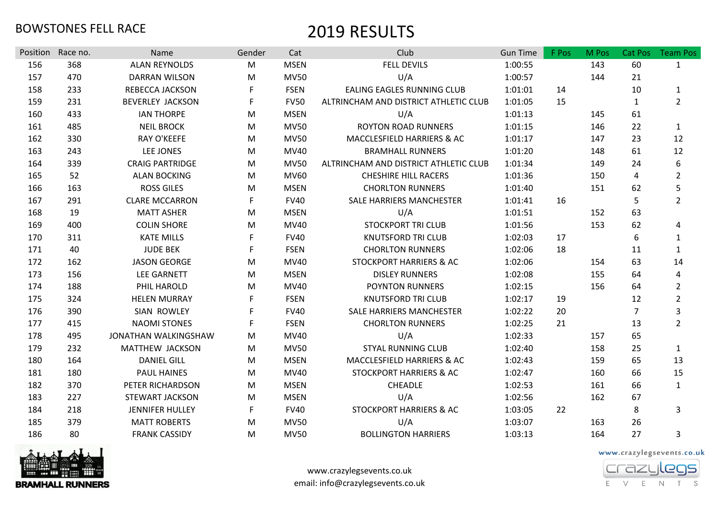| Position | Race no. | Name                    | Gender    | Cat         | Club                                  | <b>Gun Time</b> | F Pos | M Pos | Cat Pos        | <b>Team Pos</b> |
|----------|----------|-------------------------|-----------|-------------|---------------------------------------|-----------------|-------|-------|----------------|-----------------|
| 156      | 368      | <b>ALAN REYNOLDS</b>    | M         | <b>MSEN</b> | <b>FELL DEVILS</b>                    | 1:00:55         |       | 143   | 60             | $\mathbf{1}$    |
| 157      | 470      | <b>DARRAN WILSON</b>    | ${\sf M}$ | <b>MV50</b> | U/A                                   | 1:00:57         |       | 144   | 21             |                 |
| 158      | 233      | <b>REBECCA JACKSON</b>  | F         | <b>FSEN</b> | <b>EALING EAGLES RUNNING CLUB</b>     | 1:01:01         | 14    |       | 10             | $\mathbf{1}$    |
| 159      | 231      | <b>BEVERLEY JACKSON</b> | F         | <b>FV50</b> | ALTRINCHAM AND DISTRICT ATHLETIC CLUB | 1:01:05         | 15    |       | 1              | $2^{\circ}$     |
| 160      | 433      | <b>IAN THORPE</b>       | М         | <b>MSEN</b> | U/A                                   | 1:01:13         |       | 145   | 61             |                 |
| 161      | 485      | <b>NEIL BROCK</b>       | M         | <b>MV50</b> | <b>ROYTON ROAD RUNNERS</b>            | 1:01:15         |       | 146   | 22             | $\mathbf{1}$    |
| 162      | 330      | <b>RAY O'KEEFE</b>      | M         | <b>MV50</b> | MACCLESFIELD HARRIERS & AC            | 1:01:17         |       | 147   | 23             | 12              |
| 163      | 243      | LEE JONES               | ${\sf M}$ | MV40        | <b>BRAMHALL RUNNERS</b>               | 1:01:20         |       | 148   | 61             | 12              |
| 164      | 339      | <b>CRAIG PARTRIDGE</b>  | M         | <b>MV50</b> | ALTRINCHAM AND DISTRICT ATHLETIC CLUB | 1:01:34         |       | 149   | 24             | 6               |
| 165      | 52       | <b>ALAN BOCKING</b>     | M         | <b>MV60</b> | <b>CHESHIRE HILL RACERS</b>           | 1:01:36         |       | 150   | 4              | $\overline{2}$  |
| 166      | 163      | <b>ROSS GILES</b>       | М         | <b>MSEN</b> | <b>CHORLTON RUNNERS</b>               | 1:01:40         |       | 151   | 62             | 5               |
| 167      | 291      | <b>CLARE MCCARRON</b>   | F         | <b>FV40</b> | SALE HARRIERS MANCHESTER              | 1:01:41         | 16    |       | 5              | $\overline{2}$  |
| 168      | 19       | <b>MATT ASHER</b>       | M         | <b>MSEN</b> | U/A                                   | 1:01:51         |       | 152   | 63             |                 |
| 169      | 400      | <b>COLIN SHORE</b>      | ${\sf M}$ | MV40        | <b>STOCKPORT TRI CLUB</b>             | 1:01:56         |       | 153   | 62             | 4               |
| 170      | 311      | <b>KATE MILLS</b>       | F         | <b>FV40</b> | <b>KNUTSFORD TRI CLUB</b>             | 1:02:03         | 17    |       | 6              | $\mathbf{1}$    |
| 171      | 40       | <b>JUDE BEK</b>         | F         | <b>FSEN</b> | <b>CHORLTON RUNNERS</b>               | 1:02:06         | 18    |       | 11             | $\mathbf{1}$    |
| 172      | 162      | <b>JASON GEORGE</b>     | М         | MV40        | <b>STOCKPORT HARRIERS &amp; AC</b>    | 1:02:06         |       | 154   | 63             | 14              |
| 173      | 156      | <b>LEE GARNETT</b>      | M         | <b>MSEN</b> | <b>DISLEY RUNNERS</b>                 | 1:02:08         |       | 155   | 64             | 4               |
| 174      | 188      | PHIL HAROLD             | M         | MV40        | <b>POYNTON RUNNERS</b>                | 1:02:15         |       | 156   | 64             | $\overline{2}$  |
| 175      | 324      | <b>HELEN MURRAY</b>     | F         | <b>FSEN</b> | <b>KNUTSFORD TRI CLUB</b>             | 1:02:17         | 19    |       | 12             | $\overline{2}$  |
| 176      | 390      | SIAN ROWLEY             | F         | <b>FV40</b> | SALE HARRIERS MANCHESTER              | 1:02:22         | 20    |       | $\overline{7}$ | 3               |
| 177      | 415      | <b>NAOMI STONES</b>     | F         | <b>FSEN</b> | <b>CHORLTON RUNNERS</b>               | 1:02:25         | 21    |       | 13             | $\overline{2}$  |
| 178      | 495      | JONATHAN WALKINGSHAW    | M         | MV40        | U/A                                   | 1:02:33         |       | 157   | 65             |                 |
| 179      | 232      | <b>MATTHEW JACKSON</b>  | М         | <b>MV50</b> | <b>STYAL RUNNING CLUB</b>             | 1:02:40         |       | 158   | 25             | $\mathbf{1}$    |
| 180      | 164      | <b>DANIEL GILL</b>      | M         | <b>MSEN</b> | MACCLESFIELD HARRIERS & AC            | 1:02:43         |       | 159   | 65             | 13              |
| 181      | 180      | <b>PAUL HAINES</b>      | M         | MV40        | STOCKPORT HARRIERS & AC               | 1:02:47         |       | 160   | 66             | 15              |
| 182      | 370      | PETER RICHARDSON        | M         | <b>MSEN</b> | <b>CHEADLE</b>                        | 1:02:53         |       | 161   | 66             | $\mathbf{1}$    |
| 183      | 227      | <b>STEWART JACKSON</b>  | M         | <b>MSEN</b> | U/A                                   | 1:02:56         |       | 162   | 67             |                 |
| 184      | 218      | JENNIFER HULLEY         | F         | <b>FV40</b> | <b>STOCKPORT HARRIERS &amp; AC</b>    | 1:03:05         | 22    |       | 8              | 3               |
| 185      | 379      | <b>MATT ROBERTS</b>     | M         | <b>MV50</b> | U/A                                   | 1:03:07         |       | 163   | 26             |                 |
| 186      | 80       | <b>FRANK CASSIDY</b>    | М         | <b>MV50</b> | <b>BOLLINGTON HARRIERS</b>            | 1:03:13         |       | 164   | 27             | 3               |



www.crazylegsevents.co.uk email: info@crazylegsevents.co.uk

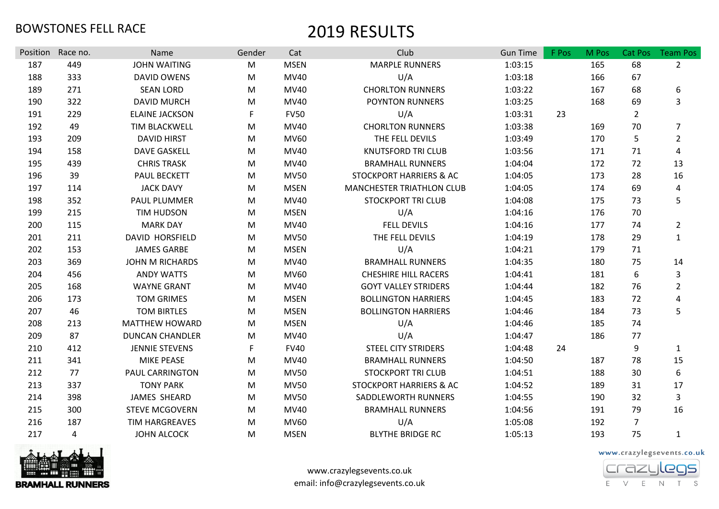|                 |                 |                             | Gender | Cat         | Club                        | <b>Gun Time</b> | F Pos | M Pos | Cat Pos        |                                   |
|-----------------|-----------------|-----------------------------|--------|-------------|-----------------------------|-----------------|-------|-------|----------------|-----------------------------------|
| Position<br>187 | Race no.<br>449 | Name<br><b>JOHN WAITING</b> |        | <b>MSEN</b> | <b>MARPLE RUNNERS</b>       | 1:03:15         |       | 165   | 68             | <b>Team Pos</b><br>$\overline{2}$ |
|                 |                 |                             | M      |             |                             |                 |       |       |                |                                   |
| 188             | 333             | DAVID OWENS                 | M      | MV40        | U/A                         | 1:03:18         |       | 166   | 67             |                                   |
| 189             | 271             | <b>SEAN LORD</b>            | M      | MV40        | <b>CHORLTON RUNNERS</b>     | 1:03:22         |       | 167   | 68             | 6                                 |
| 190             | 322             | <b>DAVID MURCH</b>          | M      | <b>MV40</b> | POYNTON RUNNERS             | 1:03:25         |       | 168   | 69             | $\overline{3}$                    |
| 191             | 229             | <b>ELAINE JACKSON</b>       | F      | <b>FV50</b> | U/A                         | 1:03:31         | 23    |       | $\overline{2}$ |                                   |
| 192             | 49              | <b>TIM BLACKWELL</b>        | M      | MV40        | <b>CHORLTON RUNNERS</b>     | 1:03:38         |       | 169   | 70             | $\overline{7}$                    |
| 193             | 209             | <b>DAVID HIRST</b>          | M      | MV60        | THE FELL DEVILS             | 1:03:49         |       | 170   | 5              | $\overline{2}$                    |
| 194             | 158             | <b>DAVE GASKELL</b>         | M      | MV40        | <b>KNUTSFORD TRI CLUB</b>   | 1:03:56         |       | 171   | 71             | $\pmb{4}$                         |
| 195             | 439             | <b>CHRIS TRASK</b>          | M      | MV40        | <b>BRAMHALL RUNNERS</b>     | 1:04:04         |       | 172   | 72             | 13                                |
| 196             | 39              | <b>PAUL BECKETT</b>         | M      | <b>MV50</b> | STOCKPORT HARRIERS & AC     | 1:04:05         |       | 173   | 28             | 16                                |
| 197             | 114             | <b>JACK DAVY</b>            | M      | <b>MSEN</b> | MANCHESTER TRIATHLON CLUB   | 1:04:05         |       | 174   | 69             | 4                                 |
| 198             | 352             | PAUL PLUMMER                | M      | MV40        | <b>STOCKPORT TRI CLUB</b>   | 1:04:08         |       | 175   | 73             | 5                                 |
| 199             | 215             | <b>TIM HUDSON</b>           | M      | <b>MSEN</b> | U/A                         | 1:04:16         |       | 176   | 70             |                                   |
| 200             | 115             | <b>MARK DAY</b>             | M      | MV40        | <b>FELL DEVILS</b>          | 1:04:16         |       | 177   | 74             | $\overline{2}$                    |
| 201             | 211             | <b>DAVID HORSFIELD</b>      | M      | <b>MV50</b> | THE FELL DEVILS             | 1:04:19         |       | 178   | 29             | $\mathbf{1}$                      |
| 202             | 153             | <b>JAMES GARBE</b>          | M      | <b>MSEN</b> | U/A                         | 1:04:21         |       | 179   | 71             |                                   |
| 203             | 369             | <b>JOHN M RICHARDS</b>      | M      | MV40        | <b>BRAMHALL RUNNERS</b>     | 1:04:35         |       | 180   | 75             | 14                                |
| 204             | 456             | <b>ANDY WATTS</b>           | M      | <b>MV60</b> | <b>CHESHIRE HILL RACERS</b> | 1:04:41         |       | 181   | 6              | 3                                 |
| 205             | 168             | <b>WAYNE GRANT</b>          | M      | MV40        | <b>GOYT VALLEY STRIDERS</b> | 1:04:44         |       | 182   | 76             | $\overline{2}$                    |
| 206             | 173             | <b>TOM GRIMES</b>           | M      | <b>MSEN</b> | <b>BOLLINGTON HARRIERS</b>  | 1:04:45         |       | 183   | 72             | $\pmb{4}$                         |
| 207             | 46              | <b>TOM BIRTLES</b>          | M      | <b>MSEN</b> | <b>BOLLINGTON HARRIERS</b>  | 1:04:46         |       | 184   | 73             | 5                                 |
| 208             | 213             | <b>MATTHEW HOWARD</b>       | M      | <b>MSEN</b> | U/A                         | 1:04:46         |       | 185   | 74             |                                   |
| 209             | 87              | <b>DUNCAN CHANDLER</b>      | M      | MV40        | U/A                         | 1:04:47         |       | 186   | 77             |                                   |
| 210             | 412             | <b>JENNIE STEVENS</b>       | F      | <b>FV40</b> | <b>STEEL CITY STRIDERS</b>  | 1:04:48         | 24    |       | 9              | $\mathbf{1}$                      |
| 211             | 341             | <b>MIKE PEASE</b>           | M      | MV40        | <b>BRAMHALL RUNNERS</b>     | 1:04:50         |       | 187   | 78             | 15                                |
| 212             | 77              | PAUL CARRINGTON             | M      | <b>MV50</b> | <b>STOCKPORT TRI CLUB</b>   | 1:04:51         |       | 188   | 30             | $\boldsymbol{6}$                  |
| 213             | 337             | <b>TONY PARK</b>            | M      | <b>MV50</b> | STOCKPORT HARRIERS & AC     | 1:04:52         |       | 189   | 31             | 17                                |
| 214             | 398             | JAMES SHEARD                | M      | <b>MV50</b> | SADDLEWORTH RUNNERS         | 1:04:55         |       | 190   | 32             | 3                                 |
| 215             | 300             | <b>STEVE MCGOVERN</b>       | M      | MV40        | <b>BRAMHALL RUNNERS</b>     | 1:04:56         |       | 191   | 79             | 16                                |
| 216             | 187             | <b>TIM HARGREAVES</b>       | M      | <b>MV60</b> | U/A                         | 1:05:08         |       | 192   | $\overline{7}$ |                                   |
| 217             | 4               | <b>JOHN ALCOCK</b>          | M      | <b>MSEN</b> | <b>BLYTHE BRIDGE RC</b>     | 1:05:13         |       | 193   | 75             | $\mathbf{1}$                      |



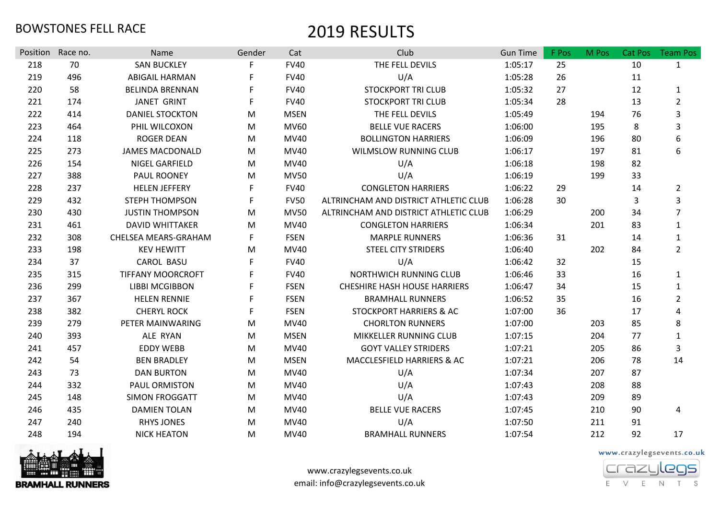| Position | Race no. | Name                     | Gender | Cat         | Club                                  | <b>Gun Time</b> | F Pos | M Pos | Cat Pos | <b>Team Pos</b> |
|----------|----------|--------------------------|--------|-------------|---------------------------------------|-----------------|-------|-------|---------|-----------------|
| 218      | 70       | <b>SAN BUCKLEY</b>       | F      | <b>FV40</b> | THE FELL DEVILS                       | 1:05:17         | 25    |       | 10      | $\mathbf{1}$    |
| 219      | 496      | <b>ABIGAIL HARMAN</b>    |        | <b>FV40</b> | U/A                                   | 1:05:28         | 26    |       | 11      |                 |
| 220      | 58       | <b>BELINDA BRENNAN</b>   |        | <b>FV40</b> | <b>STOCKPORT TRI CLUB</b>             | 1:05:32         | 27    |       | 12      | $\mathbf{1}$    |
| 221      | 174      | <b>JANET GRINT</b>       | F      | <b>FV40</b> | <b>STOCKPORT TRI CLUB</b>             | 1:05:34         | 28    |       | 13      | $\overline{2}$  |
| 222      | 414      | <b>DANIEL STOCKTON</b>   | M      | <b>MSEN</b> | THE FELL DEVILS                       | 1:05:49         |       | 194   | 76      | 3               |
| 223      | 464      | PHIL WILCOXON            | M      | MV60        | <b>BELLE VUE RACERS</b>               | 1:06:00         |       | 195   | 8       | 3               |
| 224      | 118      | <b>ROGER DEAN</b>        | M      | MV40        | <b>BOLLINGTON HARRIERS</b>            | 1:06:09         |       | 196   | 80      | 6               |
| 225      | 273      | <b>JAMES MACDONALD</b>   | M      | MV40        | <b>WILMSLOW RUNNING CLUB</b>          | 1:06:17         |       | 197   | 81      | 6               |
| 226      | 154      | NIGEL GARFIELD           | M      | MV40        | U/A                                   | 1:06:18         |       | 198   | 82      |                 |
| 227      | 388      | PAUL ROONEY              | M      | <b>MV50</b> | U/A                                   | 1:06:19         |       | 199   | 33      |                 |
| 228      | 237      | <b>HELEN JEFFERY</b>     | F      | <b>FV40</b> | <b>CONGLETON HARRIERS</b>             | 1:06:22         | 29    |       | 14      | $\overline{2}$  |
| 229      | 432      | <b>STEPH THOMPSON</b>    | F      | <b>FV50</b> | ALTRINCHAM AND DISTRICT ATHLETIC CLUB | 1:06:28         | 30    |       | 3       | 3               |
| 230      | 430      | <b>JUSTIN THOMPSON</b>   | M      | <b>MV50</b> | ALTRINCHAM AND DISTRICT ATHLETIC CLUB | 1:06:29         |       | 200   | 34      | $\overline{7}$  |
| 231      | 461      | <b>DAVID WHITTAKER</b>   | M      | MV40        | <b>CONGLETON HARRIERS</b>             | 1:06:34         |       | 201   | 83      | 1               |
| 232      | 308      | CHELSEA MEARS-GRAHAM     | F.     | <b>FSEN</b> | <b>MARPLE RUNNERS</b>                 | 1:06:36         | 31    |       | 14      | $\mathbf{1}$    |
| 233      | 198      | <b>KEV HEWITT</b>        | M      | MV40        | <b>STEEL CITY STRIDERS</b>            | 1:06:40         |       | 202   | 84      | $\overline{2}$  |
| 234      | 37       | <b>CAROL BASU</b>        | F      | <b>FV40</b> | U/A                                   | 1:06:42         | 32    |       | 15      |                 |
| 235      | 315      | <b>TIFFANY MOORCROFT</b> | F.     | <b>FV40</b> | NORTHWICH RUNNING CLUB                | 1:06:46         | 33    |       | 16      | $\mathbf{1}$    |
| 236      | 299      | <b>LIBBI MCGIBBON</b>    | F.     | <b>FSEN</b> | <b>CHESHIRE HASH HOUSE HARRIERS</b>   | 1:06:47         | 34    |       | 15      | $\mathbf{1}$    |
| 237      | 367      | <b>HELEN RENNIE</b>      | F      | <b>FSEN</b> | <b>BRAMHALL RUNNERS</b>               | 1:06:52         | 35    |       | 16      | $\overline{2}$  |
| 238      | 382      | <b>CHERYL ROCK</b>       | F      | <b>FSEN</b> | <b>STOCKPORT HARRIERS &amp; AC</b>    | 1:07:00         | 36    |       | 17      | 4               |
| 239      | 279      | PETER MAINWARING         | M      | MV40        | <b>CHORLTON RUNNERS</b>               | 1:07:00         |       | 203   | 85      | 8               |
| 240      | 393      | ALE RYAN                 | M      | <b>MSEN</b> | MIKKELLER RUNNING CLUB                | 1:07:15         |       | 204   | 77      | 1               |
| 241      | 457      | <b>EDDY WEBB</b>         | M      | MV40        | <b>GOYT VALLEY STRIDERS</b>           | 1:07:21         |       | 205   | 86      | 3               |
| 242      | 54       | <b>BEN BRADLEY</b>       | M      | <b>MSEN</b> | MACCLESFIELD HARRIERS & AC            | 1:07:21         |       | 206   | 78      | 14              |
| 243      | 73       | <b>DAN BURTON</b>        | M      | MV40        | U/A                                   | 1:07:34         |       | 207   | 87      |                 |
| 244      | 332      | PAUL ORMISTON            | M      | MV40        | U/A                                   | 1:07:43         |       | 208   | 88      |                 |
| 245      | 148      | <b>SIMON FROGGATT</b>    | M      | MV40        | U/A                                   | 1:07:43         |       | 209   | 89      |                 |
| 246      | 435      | <b>DAMIEN TOLAN</b>      | M      | MV40        | <b>BELLE VUE RACERS</b>               | 1:07:45         |       | 210   | 90      | 4               |
| 247      | 240      | <b>RHYS JONES</b>        | M      | MV40        | U/A                                   | 1:07:50         |       | 211   | 91      |                 |
| 248      | 194      | <b>NICK HEATON</b>       | M      | MV40        | <b>BRAMHALL RUNNERS</b>               | 1:07:54         |       | 212   | 92      | 17              |



www.crazylegsevents.co.uk email: info@crazylegsevents.co.uk

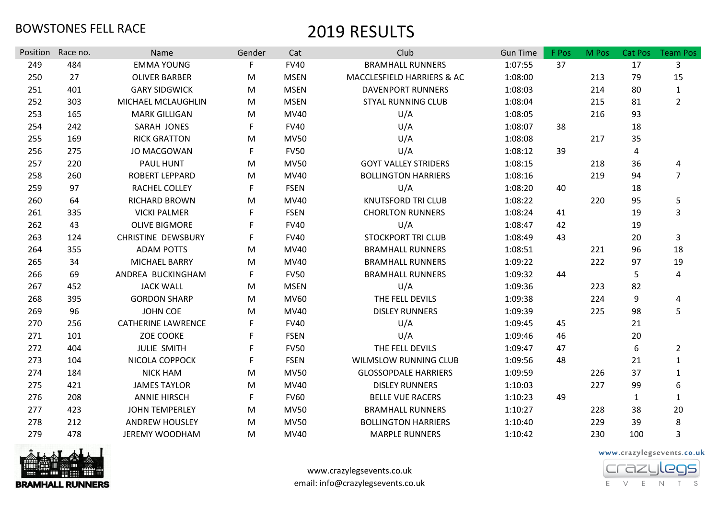| Position | Race no. | Name                      | Gender      | Cat         | Club                         | <b>Gun Time</b> | F Pos | M Pos | Cat Pos      | <b>Team Pos</b> |
|----------|----------|---------------------------|-------------|-------------|------------------------------|-----------------|-------|-------|--------------|-----------------|
| 249      | 484      | <b>EMMA YOUNG</b>         | F           | <b>FV40</b> | <b>BRAMHALL RUNNERS</b>      | 1:07:55         | 37    |       | 17           | 3               |
| 250      | 27       | <b>OLIVER BARBER</b>      | M           | <b>MSEN</b> | MACCLESFIELD HARRIERS & AC   | 1:08:00         |       | 213   | 79           | 15              |
| 251      | 401      | <b>GARY SIDGWICK</b>      | M           | <b>MSEN</b> | <b>DAVENPORT RUNNERS</b>     | 1:08:03         |       | 214   | 80           | $\mathbf{1}$    |
| 252      | 303      | MICHAEL MCLAUGHLIN        | M           | <b>MSEN</b> | <b>STYAL RUNNING CLUB</b>    | 1:08:04         |       | 215   | 81           | $\overline{2}$  |
| 253      | 165      | <b>MARK GILLIGAN</b>      | M           | MV40        | U/A                          | 1:08:05         |       | 216   | 93           |                 |
| 254      | 242      | SARAH JONES               | F           | <b>FV40</b> | U/A                          | 1:08:07         | 38    |       | 18           |                 |
| 255      | 169      | <b>RICK GRATTON</b>       | M           | <b>MV50</b> | U/A                          | 1:08:08         |       | 217   | 35           |                 |
| 256      | 275      | JO MACGOWAN               | F           | <b>FV50</b> | U/A                          | 1:08:12         | 39    |       | 4            |                 |
| 257      | 220      | <b>PAUL HUNT</b>          | M           | <b>MV50</b> | <b>GOYT VALLEY STRIDERS</b>  | 1:08:15         |       | 218   | 36           | 4               |
| 258      | 260      | <b>ROBERT LEPPARD</b>     | M           | MV40        | <b>BOLLINGTON HARRIERS</b>   | 1:08:16         |       | 219   | 94           | $\overline{7}$  |
| 259      | 97       | RACHEL COLLEY             | F           | <b>FSEN</b> | U/A                          | 1:08:20         | 40    |       | 18           |                 |
| 260      | 64       | RICHARD BROWN             | M           | MV40        | <b>KNUTSFORD TRI CLUB</b>    | 1:08:22         |       | 220   | 95           | 5               |
| 261      | 335      | <b>VICKI PALMER</b>       | F           | <b>FSEN</b> | <b>CHORLTON RUNNERS</b>      | 1:08:24         | 41    |       | 19           | 3               |
| 262      | 43       | <b>OLIVE BIGMORE</b>      |             | <b>FV40</b> | U/A                          | 1:08:47         | 42    |       | 19           |                 |
| 263      | 124      | <b>CHRISTINE DEWSBURY</b> | F           | <b>FV40</b> | <b>STOCKPORT TRI CLUB</b>    | 1:08:49         | 43    |       | 20           | 3               |
| 264      | 355      | <b>ADAM POTTS</b>         | M           | <b>MV40</b> | <b>BRAMHALL RUNNERS</b>      | 1:08:51         |       | 221   | 96           | 18              |
| 265      | 34       | <b>MICHAEL BARRY</b>      | M           | MV40        | <b>BRAMHALL RUNNERS</b>      | 1:09:22         |       | 222   | 97           | 19              |
| 266      | 69       | ANDREA BUCKINGHAM         | F           | <b>FV50</b> | <b>BRAMHALL RUNNERS</b>      | 1:09:32         | 44    |       | 5            | 4               |
| 267      | 452      | <b>JACK WALL</b>          | M           | <b>MSEN</b> | U/A                          | 1:09:36         |       | 223   | 82           |                 |
| 268      | 395      | <b>GORDON SHARP</b>       | M           | MV60        | THE FELL DEVILS              | 1:09:38         |       | 224   | 9            | 4               |
| 269      | 96       | <b>JOHN COE</b>           | M           | MV40        | <b>DISLEY RUNNERS</b>        | 1:09:39         |       | 225   | 98           | 5               |
| 270      | 256      | <b>CATHERINE LAWRENCE</b> | F           | <b>FV40</b> | U/A                          | 1:09:45         | 45    |       | 21           |                 |
| 271      | 101      | <b>ZOE COOKE</b>          | F           | <b>FSEN</b> | U/A                          | 1:09:46         | 46    |       | 20           |                 |
| 272      | 404      | <b>JULIE SMITH</b>        | F           | <b>FV50</b> | THE FELL DEVILS              | 1:09:47         | 47    |       | 6            | $\overline{2}$  |
| 273      | 104      | NICOLA COPPOCK            | F           | <b>FSEN</b> | <b>WILMSLOW RUNNING CLUB</b> | 1:09:56         | 48    |       | 21           | $\mathbf{1}$    |
| 274      | 184      | <b>NICK HAM</b>           | M           | <b>MV50</b> | <b>GLOSSOPDALE HARRIERS</b>  | 1:09:59         |       | 226   | 37           | $\mathbf{1}$    |
| 275      | 421      | <b>JAMES TAYLOR</b>       | M           | MV40        | <b>DISLEY RUNNERS</b>        | 1:10:03         |       | 227   | 99           | 6               |
| 276      | 208      | <b>ANNIE HIRSCH</b>       | $\mathsf F$ | <b>FV60</b> | <b>BELLE VUE RACERS</b>      | 1:10:23         | 49    |       | $\mathbf{1}$ | $\mathbf{1}$    |
| 277      | 423      | <b>JOHN TEMPERLEY</b>     | M           | <b>MV50</b> | <b>BRAMHALL RUNNERS</b>      | 1:10:27         |       | 228   | 38           | 20              |
| 278      | 212      | <b>ANDREW HOUSLEY</b>     | M           | <b>MV50</b> | <b>BOLLINGTON HARRIERS</b>   | 1:10:40         |       | 229   | 39           | 8               |
| 279      | 478      | <b>JEREMY WOODHAM</b>     | M           | MV40        | <b>MARPLE RUNNERS</b>        | 1:10:42         |       | 230   | 100          | 3               |



www.crazylegsevents.co.uk email: info@crazylegsevents.co.uk

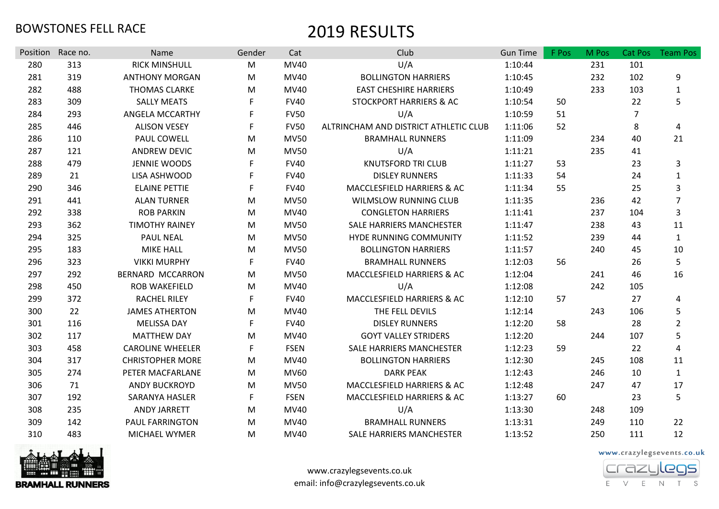| Position | Race no. | Name                    | Gender      | Cat         | Club                                  | <b>Gun Time</b> | F Pos | M Pos | <b>Cat Pos</b> | <b>Team Pos</b> |
|----------|----------|-------------------------|-------------|-------------|---------------------------------------|-----------------|-------|-------|----------------|-----------------|
| 280      | 313      | <b>RICK MINSHULL</b>    | M           | <b>MV40</b> | U/A                                   | 1:10:44         |       | 231   | 101            |                 |
| 281      | 319      | <b>ANTHONY MORGAN</b>   | M           | MV40        | <b>BOLLINGTON HARRIERS</b>            | 1:10:45         |       | 232   | 102            | 9               |
| 282      | 488      | <b>THOMAS CLARKE</b>    | M           | MV40        | <b>EAST CHESHIRE HARRIERS</b>         | 1:10:49         |       | 233   | 103            | $\mathbf{1}$    |
| 283      | 309      | <b>SALLY MEATS</b>      | F           | <b>FV40</b> | STOCKPORT HARRIERS & AC               | 1:10:54         | 50    |       | 22             | 5               |
| 284      | 293      | ANGELA MCCARTHY         | F           | <b>FV50</b> | U/A                                   | 1:10:59         | 51    |       | $\overline{7}$ |                 |
| 285      | 446      | <b>ALISON VESEY</b>     | F           | <b>FV50</b> | ALTRINCHAM AND DISTRICT ATHLETIC CLUB | 1:11:06         | 52    |       | 8              | 4               |
| 286      | 110      | PAUL COWELL             | M           | <b>MV50</b> | <b>BRAMHALL RUNNERS</b>               | 1:11:09         |       | 234   | 40             | 21              |
| 287      | 121      | <b>ANDREW DEVIC</b>     | M           | <b>MV50</b> | U/A                                   | 1:11:21         |       | 235   | 41             |                 |
| 288      | 479      | <b>JENNIE WOODS</b>     | F           | <b>FV40</b> | <b>KNUTSFORD TRI CLUB</b>             | 1:11:27         | 53    |       | 23             | 3               |
| 289      | 21       | LISA ASHWOOD            | F           | <b>FV40</b> | <b>DISLEY RUNNERS</b>                 | 1:11:33         | 54    |       | 24             | $\mathbf{1}$    |
| 290      | 346      | <b>ELAINE PETTIE</b>    | F           | <b>FV40</b> | <b>MACCLESFIELD HARRIERS &amp; AC</b> | 1:11:34         | 55    |       | 25             | 3               |
| 291      | 441      | <b>ALAN TURNER</b>      | M           | <b>MV50</b> | <b>WILMSLOW RUNNING CLUB</b>          | 1:11:35         |       | 236   | 42             | $\overline{7}$  |
| 292      | 338      | <b>ROB PARKIN</b>       | M           | <b>MV40</b> | <b>CONGLETON HARRIERS</b>             | 1:11:41         |       | 237   | 104            | 3               |
| 293      | 362      | <b>TIMOTHY RAINEY</b>   | M           | <b>MV50</b> | <b>SALE HARRIERS MANCHESTER</b>       | 1:11:47         |       | 238   | 43             | 11              |
| 294      | 325      | <b>PAUL NEAL</b>        | M           | <b>MV50</b> | HYDE RUNNING COMMUNITY                | 1:11:52         |       | 239   | 44             | $\mathbf{1}$    |
| 295      | 183      | <b>MIKE HALL</b>        | M           | <b>MV50</b> | <b>BOLLINGTON HARRIERS</b>            | 1:11:57         |       | 240   | 45             | 10              |
| 296      | 323      | <b>VIKKI MURPHY</b>     | F           | <b>FV40</b> | <b>BRAMHALL RUNNERS</b>               | 1:12:03         | 56    |       | 26             | 5               |
| 297      | 292      | <b>BERNARD MCCARRON</b> | M           | <b>MV50</b> | MACCLESFIELD HARRIERS & AC            | 1:12:04         |       | 241   | 46             | 16              |
| 298      | 450      | <b>ROB WAKEFIELD</b>    | M           | MV40        | U/A                                   | 1:12:08         |       | 242   | 105            |                 |
| 299      | 372      | <b>RACHEL RILEY</b>     | F           | <b>FV40</b> | MACCLESFIELD HARRIERS & AC            | 1:12:10         | 57    |       | 27             | 4               |
| 300      | 22       | <b>JAMES ATHERTON</b>   | M           | MV40        | THE FELL DEVILS                       | 1:12:14         |       | 243   | 106            | 5               |
| 301      | 116      | <b>MELISSA DAY</b>      | F           | <b>FV40</b> | <b>DISLEY RUNNERS</b>                 | 1:12:20         | 58    |       | 28             | $\overline{2}$  |
| 302      | 117      | <b>MATTHEW DAY</b>      | M           | <b>MV40</b> | <b>GOYT VALLEY STRIDERS</b>           | 1:12:20         |       | 244   | 107            | 5               |
| 303      | 458      | <b>CAROLINE WHEELER</b> | F           | <b>FSEN</b> | SALE HARRIERS MANCHESTER              | 1:12:23         | 59    |       | 22             | 4               |
| 304      | 317      | <b>CHRISTOPHER MORE</b> | M           | <b>MV40</b> | <b>BOLLINGTON HARRIERS</b>            | 1:12:30         |       | 245   | 108            | 11              |
| 305      | 274      | PETER MACFARLANE        | M           | <b>MV60</b> | <b>DARK PEAK</b>                      | 1:12:43         |       | 246   | 10             | $\mathbf{1}$    |
| 306      | 71       | <b>ANDY BUCKROYD</b>    | M           | <b>MV50</b> | MACCLESFIELD HARRIERS & AC            | 1:12:48         |       | 247   | 47             | 17              |
| 307      | 192      | <b>SARANYA HASLER</b>   | $\mathsf F$ | <b>FSEN</b> | MACCLESFIELD HARRIERS & AC            | 1:13:27         | 60    |       | 23             | 5               |
| 308      | 235      | <b>ANDY JARRETT</b>     | M           | MV40        | U/A                                   | 1:13:30         |       | 248   | 109            |                 |
| 309      | 142      | PAUL FARRINGTON         | M           | MV40        | <b>BRAMHALL RUNNERS</b>               | 1:13:31         |       | 249   | 110            | 22              |
| 310      | 483      | <b>MICHAEL WYMER</b>    | M           | MV40        | <b>SALE HARRIERS MANCHESTER</b>       | 1:13:52         |       | 250   | 111            | 12              |



www.crazylegsevents.co.uk email: info@crazylegsevents.co.uk

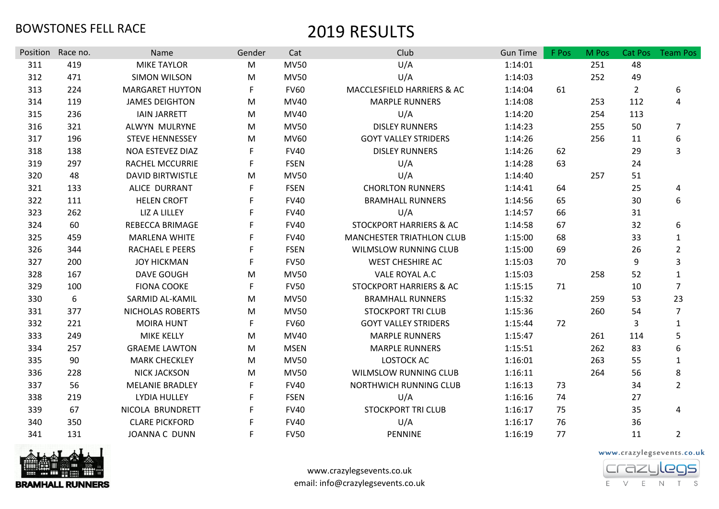| Position | Race no. | Name                    | Gender | Cat         | Club                               | <b>Gun Time</b> | F Pos | M Pos | Cat Pos        | <b>Team Pos</b> |
|----------|----------|-------------------------|--------|-------------|------------------------------------|-----------------|-------|-------|----------------|-----------------|
| 311      | 419      | <b>MIKE TAYLOR</b>      | M      | <b>MV50</b> | U/A                                | 1:14:01         |       | 251   | 48             |                 |
| 312      | 471      | <b>SIMON WILSON</b>     | M      | <b>MV50</b> | U/A                                | 1:14:03         |       | 252   | 49             |                 |
| 313      | 224      | <b>MARGARET HUYTON</b>  | F      | <b>FV60</b> | MACCLESFIELD HARRIERS & AC         | 1:14:04         | 61    |       | $\overline{2}$ | 6               |
| 314      | 119      | <b>JAMES DEIGHTON</b>   | M      | MV40        | <b>MARPLE RUNNERS</b>              | 1:14:08         |       | 253   | 112            | 4               |
| 315      | 236      | <b>IAIN JARRETT</b>     | M      | MV40        | U/A                                | 1:14:20         |       | 254   | 113            |                 |
| 316      | 321      | ALWYN MULRYNE           | M      | <b>MV50</b> | <b>DISLEY RUNNERS</b>              | 1:14:23         |       | 255   | 50             | $\overline{7}$  |
| 317      | 196      | <b>STEVE HENNESSEY</b>  | M      | MV60        | <b>GOYT VALLEY STRIDERS</b>        | 1:14:26         |       | 256   | 11             | 6               |
| 318      | 138      | NOA ESTEVEZ DIAZ        | F      | <b>FV40</b> | <b>DISLEY RUNNERS</b>              | 1:14:26         | 62    |       | 29             | 3               |
| 319      | 297      | <b>RACHEL MCCURRIE</b>  | F      | <b>FSEN</b> | U/A                                | 1:14:28         | 63    |       | 24             |                 |
| 320      | 48       | <b>DAVID BIRTWISTLE</b> | M      | <b>MV50</b> | U/A                                | 1:14:40         |       | 257   | 51             |                 |
| 321      | 133      | ALICE DURRANT           | F      | <b>FSEN</b> | <b>CHORLTON RUNNERS</b>            | 1:14:41         | 64    |       | 25             | 4               |
| 322      | 111      | <b>HELEN CROFT</b>      | F      | <b>FV40</b> | <b>BRAMHALL RUNNERS</b>            | 1:14:56         | 65    |       | 30             | 6               |
| 323      | 262      | <b>LIZ A LILLEY</b>     |        | <b>FV40</b> | U/A                                | 1:14:57         | 66    |       | 31             |                 |
| 324      | 60       | <b>REBECCA BRIMAGE</b>  |        | <b>FV40</b> | STOCKPORT HARRIERS & AC            | 1:14:58         | 67    |       | 32             | 6               |
| 325      | 459      | <b>MARLENA WHITE</b>    |        | <b>FV40</b> | <b>MANCHESTER TRIATHLON CLUB</b>   | 1:15:00         | 68    |       | 33             | $\mathbf{1}$    |
| 326      | 344      | RACHAEL E PEERS         | F      | <b>FSEN</b> | <b>WILMSLOW RUNNING CLUB</b>       | 1:15:00         | 69    |       | 26             | $\overline{2}$  |
| 327      | 200      | <b>JOY HICKMAN</b>      | F      | <b>FV50</b> | <b>WEST CHESHIRE AC</b>            | 1:15:03         | 70    |       | 9              | 3               |
| 328      | 167      | <b>DAVE GOUGH</b>       | M      | <b>MV50</b> | VALE ROYAL A.C                     | 1:15:03         |       | 258   | 52             | $\mathbf{1}$    |
| 329      | 100      | <b>FIONA COOKE</b>      | F      | <b>FV50</b> | <b>STOCKPORT HARRIERS &amp; AC</b> | 1:15:15         | 71    |       | 10             | $\overline{7}$  |
| 330      | 6        | SARMID AL-KAMIL         | M      | <b>MV50</b> | <b>BRAMHALL RUNNERS</b>            | 1:15:32         |       | 259   | 53             | 23              |
| 331      | 377      | NICHOLAS ROBERTS        | M      | <b>MV50</b> | <b>STOCKPORT TRI CLUB</b>          | 1:15:36         |       | 260   | 54             | $\overline{7}$  |
| 332      | 221      | <b>MOIRA HUNT</b>       | F      | <b>FV60</b> | <b>GOYT VALLEY STRIDERS</b>        | 1:15:44         | 72    |       | 3              | $\mathbf{1}$    |
| 333      | 249      | <b>MIKE KELLY</b>       | M      | MV40        | <b>MARPLE RUNNERS</b>              | 1:15:47         |       | 261   | 114            | 5               |
| 334      | 257      | <b>GRAEME LAWTON</b>    | M      | <b>MSEN</b> | <b>MARPLE RUNNERS</b>              | 1:15:51         |       | 262   | 83             | 6               |
| 335      | 90       | <b>MARK CHECKLEY</b>    | M      | <b>MV50</b> | <b>LOSTOCK AC</b>                  | 1:16:01         |       | 263   | 55             | $\mathbf{1}$    |
| 336      | 228      | <b>NICK JACKSON</b>     | M      | <b>MV50</b> | <b>WILMSLOW RUNNING CLUB</b>       | 1:16:11         |       | 264   | 56             | 8               |
| 337      | 56       | <b>MELANIE BRADLEY</b>  | F      | <b>FV40</b> | NORTHWICH RUNNING CLUB             | 1:16:13         | 73    |       | 34             | $\overline{2}$  |
| 338      | 219      | LYDIA HULLEY            | F      | <b>FSEN</b> | U/A                                | 1:16:16         | 74    |       | 27             |                 |
| 339      | 67       | NICOLA BRUNDRETT        | F      | <b>FV40</b> | <b>STOCKPORT TRI CLUB</b>          | 1:16:17         | 75    |       | 35             | 4               |
| 340      | 350      | <b>CLARE PICKFORD</b>   | F      | <b>FV40</b> | U/A                                | 1:16:17         | 76    |       | 36             |                 |
| 341      | 131      | <b>JOANNA C DUNN</b>    | F      | <b>FV50</b> | <b>PENNINE</b>                     | 1:16:19         | 77    |       | 11             | $\overline{2}$  |



www.crazylegsevents.co.uk email: info@crazylegsevents.co.uk

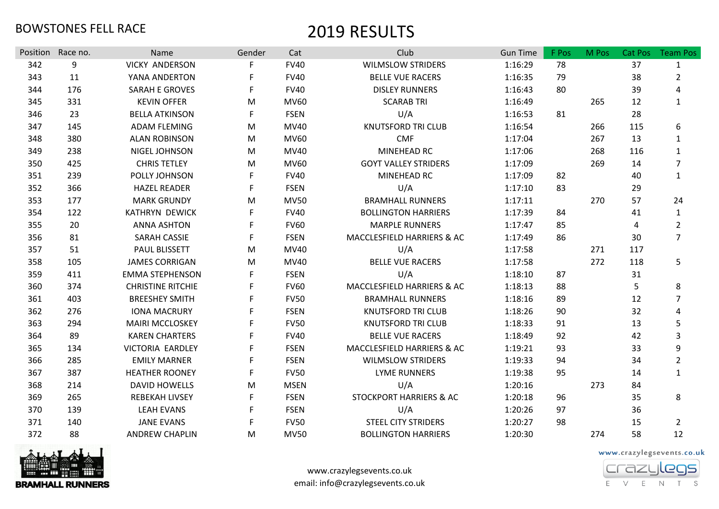| Position | Race no. | <b>Name</b>              | Gender | Cat         | Club                               | <b>Gun Time</b> | F Pos | M Pos | Cat Pos | <b>Team Pos</b> |
|----------|----------|--------------------------|--------|-------------|------------------------------------|-----------------|-------|-------|---------|-----------------|
| 342      | 9        | <b>VICKY ANDERSON</b>    | F.     | <b>FV40</b> | <b>WILMSLOW STRIDERS</b>           | 1:16:29         | 78    |       | 37      | $\mathbf{1}$    |
| 343      | 11       | YANA ANDERTON            |        | <b>FV40</b> | <b>BELLE VUE RACERS</b>            | 1:16:35         | 79    |       | 38      | $\overline{2}$  |
| 344      | 176      | <b>SARAH E GROVES</b>    | F.     | <b>FV40</b> | <b>DISLEY RUNNERS</b>              | 1:16:43         | 80    |       | 39      | 4               |
| 345      | 331      | <b>KEVIN OFFER</b>       | M      | <b>MV60</b> | <b>SCARAB TRI</b>                  | 1:16:49         |       | 265   | 12      | $\mathbf{1}$    |
| 346      | 23       | <b>BELLA ATKINSON</b>    | F      | <b>FSEN</b> | U/A                                | 1:16:53         | 81    |       | 28      |                 |
| 347      | 145      | <b>ADAM FLEMING</b>      | M      | MV40        | <b>KNUTSFORD TRI CLUB</b>          | 1:16:54         |       | 266   | 115     | 6               |
| 348      | 380      | <b>ALAN ROBINSON</b>     | M      | <b>MV60</b> | <b>CMF</b>                         | 1:17:04         |       | 267   | 13      | 1               |
| 349      | 238      | NIGEL JOHNSON            | M      | MV40        | MINEHEAD RC                        | 1:17:06         |       | 268   | 116     | $\mathbf{1}$    |
| 350      | 425      | <b>CHRIS TETLEY</b>      | M      | <b>MV60</b> | <b>GOYT VALLEY STRIDERS</b>        | 1:17:09         |       | 269   | 14      | $\overline{7}$  |
| 351      | 239      | POLLY JOHNSON            | F.     | <b>FV40</b> | MINEHEAD RC                        | 1:17:09         | 82    |       | 40      | $\mathbf{1}$    |
| 352      | 366      | <b>HAZEL READER</b>      | F      | <b>FSEN</b> | U/A                                | 1:17:10         | 83    |       | 29      |                 |
| 353      | 177      | <b>MARK GRUNDY</b>       | M      | <b>MV50</b> | <b>BRAMHALL RUNNERS</b>            | 1:17:11         |       | 270   | 57      | 24              |
| 354      | 122      | KATHRYN DEWICK           | F.     | <b>FV40</b> | <b>BOLLINGTON HARRIERS</b>         | 1:17:39         | 84    |       | 41      | $\mathbf{1}$    |
| 355      | 20       | <b>ANNA ASHTON</b>       | F      | <b>FV60</b> | <b>MARPLE RUNNERS</b>              | 1:17:47         | 85    |       | 4       | $\overline{2}$  |
| 356      | 81       | <b>SARAH CASSIE</b>      | F.     | <b>FSEN</b> | MACCLESFIELD HARRIERS & AC         | 1:17:49         | 86    |       | 30      | $\overline{7}$  |
| 357      | 51       | PAUL BLISSETT            | M      | <b>MV40</b> | U/A                                | 1:17:58         |       | 271   | 117     |                 |
| 358      | 105      | <b>JAMES CORRIGAN</b>    | M      | MV40        | <b>BELLE VUE RACERS</b>            | 1:17:58         |       | 272   | 118     | 5               |
| 359      | 411      | <b>EMMA STEPHENSON</b>   | F.     | <b>FSEN</b> | U/A                                | 1:18:10         | 87    |       | 31      |                 |
| 360      | 374      | <b>CHRISTINE RITCHIE</b> | F      | <b>FV60</b> | MACCLESFIELD HARRIERS & AC         | 1:18:13         | 88    |       | 5       | 8               |
| 361      | 403      | <b>BREESHEY SMITH</b>    |        | <b>FV50</b> | <b>BRAMHALL RUNNERS</b>            | 1:18:16         | 89    |       | 12      | $\overline{7}$  |
| 362      | 276      | <b>IONA MACRURY</b>      | F      | <b>FSEN</b> | <b>KNUTSFORD TRI CLUB</b>          | 1:18:26         | 90    |       | 32      | 4               |
| 363      | 294      | <b>MAIRI MCCLOSKEY</b>   | F.     | <b>FV50</b> | <b>KNUTSFORD TRI CLUB</b>          | 1:18:33         | 91    |       | 13      | 5               |
| 364      | 89       | <b>KAREN CHARTERS</b>    |        | <b>FV40</b> | <b>BELLE VUE RACERS</b>            | 1:18:49         | 92    |       | 42      | 3               |
| 365      | 134      | VICTORIA EARDLEY         | F.     | <b>FSEN</b> | MACCLESFIELD HARRIERS & AC         | 1:19:21         | 93    |       | 33      | 9               |
| 366      | 285      | <b>EMILY MARNER</b>      | F.     | <b>FSEN</b> | <b>WILMSLOW STRIDERS</b>           | 1:19:33         | 94    |       | 34      | $\overline{2}$  |
| 367      | 387      | <b>HEATHER ROONEY</b>    | F      | <b>FV50</b> | <b>LYME RUNNERS</b>                | 1:19:38         | 95    |       | 14      | $\mathbf{1}$    |
| 368      | 214      | <b>DAVID HOWELLS</b>     | M      | <b>MSEN</b> | U/A                                | 1:20:16         |       | 273   | 84      |                 |
| 369      | 265      | <b>REBEKAH LIVSEY</b>    | F      | <b>FSEN</b> | <b>STOCKPORT HARRIERS &amp; AC</b> | 1:20:18         | 96    |       | 35      | 8               |
| 370      | 139      | <b>LEAH EVANS</b>        | F      | <b>FSEN</b> | U/A                                | 1:20:26         | 97    |       | 36      |                 |
| 371      | 140      | <b>JANE EVANS</b>        | F.     | <b>FV50</b> | <b>STEEL CITY STRIDERS</b>         | 1:20:27         | 98    |       | 15      | $\overline{2}$  |
| 372      | 88       | <b>ANDREW CHAPLIN</b>    | M      | <b>MV50</b> | <b>BOLLINGTON HARRIERS</b>         | 1:20:30         |       | 274   | 58      | 12              |



www.crazylegsevents.co.uk email: info@crazylegsevents.co.uk

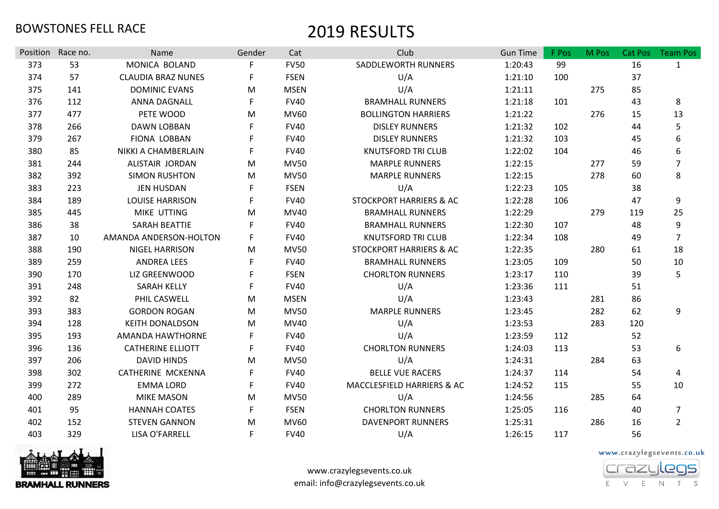| Position | Race no. | Name                      | Gender | Cat         | Club                               | <b>Gun Time</b> | F Pos | M Pos | <b>Cat Pos</b> | <b>Team Pos</b> |
|----------|----------|---------------------------|--------|-------------|------------------------------------|-----------------|-------|-------|----------------|-----------------|
| 373      | 53       | MONICA BOLAND             |        | <b>FV50</b> | SADDLEWORTH RUNNERS                | 1:20:43         | 99    |       | 16             | $\mathbf{1}$    |
| 374      | 57       | <b>CLAUDIA BRAZ NUNES</b> | F      | <b>FSEN</b> | U/A                                | 1:21:10         | 100   |       | 37             |                 |
| 375      | 141      | <b>DOMINIC EVANS</b>      | M      | <b>MSEN</b> | U/A                                | 1:21:11         |       | 275   | 85             |                 |
| 376      | 112      | ANNA DAGNALL              | F      | <b>FV40</b> | <b>BRAMHALL RUNNERS</b>            | 1:21:18         | 101   |       | 43             | 8               |
| 377      | 477      | PETE WOOD                 | M      | <b>MV60</b> | <b>BOLLINGTON HARRIERS</b>         | 1:21:22         |       | 276   | 15             | 13              |
| 378      | 266      | <b>DAWN LOBBAN</b>        | F      | <b>FV40</b> | <b>DISLEY RUNNERS</b>              | 1:21:32         | 102   |       | 44             | 5               |
| 379      | 267      | <b>FIONA LOBBAN</b>       | F      | <b>FV40</b> | <b>DISLEY RUNNERS</b>              | 1:21:32         | 103   |       | 45             | 6               |
| 380      | 85       | NIKKI A CHAMBERLAIN       |        | <b>FV40</b> | <b>KNUTSFORD TRI CLUB</b>          | 1:22:02         | 104   |       | 46             | 6               |
| 381      | 244      | ALISTAIR JORDAN           | M      | <b>MV50</b> | <b>MARPLE RUNNERS</b>              | 1:22:15         |       | 277   | 59             | 7               |
| 382      | 392      | <b>SIMON RUSHTON</b>      | M      | <b>MV50</b> | <b>MARPLE RUNNERS</b>              | 1:22:15         |       | 278   | 60             | 8               |
| 383      | 223      | <b>JEN HUSDAN</b>         | F      | <b>FSEN</b> | U/A                                | 1:22:23         | 105   |       | 38             |                 |
| 384      | 189      | <b>LOUISE HARRISON</b>    | F      | <b>FV40</b> | <b>STOCKPORT HARRIERS &amp; AC</b> | 1:22:28         | 106   |       | 47             | 9               |
| 385      | 445      | MIKE UTTING               | M      | MV40        | <b>BRAMHALL RUNNERS</b>            | 1:22:29         |       | 279   | 119            | 25              |
| 386      | 38       | SARAH BEATTIE             | F      | <b>FV40</b> | <b>BRAMHALL RUNNERS</b>            | 1:22:30         | 107   |       | 48             | 9               |
| 387      | 10       | AMANDA ANDERSON-HOLTON    | F      | <b>FV40</b> | <b>KNUTSFORD TRI CLUB</b>          | 1:22:34         | 108   |       | 49             | $\overline{7}$  |
| 388      | 190      | NIGEL HARRISON            | M      | <b>MV50</b> | STOCKPORT HARRIERS & AC            | 1:22:35         |       | 280   | 61             | 18              |
| 389      | 259      | <b>ANDREA LEES</b>        | F      | <b>FV40</b> | <b>BRAMHALL RUNNERS</b>            | 1:23:05         | 109   |       | 50             | 10              |
| 390      | 170      | LIZ GREENWOOD             |        | <b>FSEN</b> | <b>CHORLTON RUNNERS</b>            | 1:23:17         | 110   |       | 39             | 5               |
| 391      | 248      | <b>SARAH KELLY</b>        | F      | <b>FV40</b> | U/A                                | 1:23:36         | 111   |       | 51             |                 |
| 392      | 82       | PHIL CASWELL              | M      | <b>MSEN</b> | U/A                                | 1:23:43         |       | 281   | 86             |                 |
| 393      | 383      | <b>GORDON ROGAN</b>       | M      | <b>MV50</b> | <b>MARPLE RUNNERS</b>              | 1:23:45         |       | 282   | 62             | 9               |
| 394      | 128      | <b>KEITH DONALDSON</b>    | M      | MV40        | U/A                                | 1:23:53         |       | 283   | 120            |                 |
| 395      | 193      | AMANDA HAWTHORNE          | F      | <b>FV40</b> | U/A                                | 1:23:59         | 112   |       | 52             |                 |
| 396      | 136      | <b>CATHERINE ELLIOTT</b>  | F      | <b>FV40</b> | <b>CHORLTON RUNNERS</b>            | 1:24:03         | 113   |       | 53             | 6               |
| 397      | 206      | <b>DAVID HINDS</b>        | M      | <b>MV50</b> | U/A                                | 1:24:31         |       | 284   | 63             |                 |
| 398      | 302      | <b>CATHERINE MCKENNA</b>  | F      | <b>FV40</b> | <b>BELLE VUE RACERS</b>            | 1:24:37         | 114   |       | 54             | 4               |
| 399      | 272      | <b>EMMA LORD</b>          | F      | <b>FV40</b> | MACCLESFIELD HARRIERS & AC         | 1:24:52         | 115   |       | 55             | 10              |
| 400      | 289      | <b>MIKE MASON</b>         | M      | <b>MV50</b> | U/A                                | 1:24:56         |       | 285   | 64             |                 |
| 401      | 95       | <b>HANNAH COATES</b>      | F      | <b>FSEN</b> | <b>CHORLTON RUNNERS</b>            | 1:25:05         | 116   |       | 40             | $\overline{7}$  |
| 402      | 152      | <b>STEVEN GANNON</b>      | М      | <b>MV60</b> | <b>DAVENPORT RUNNERS</b>           | 1:25:31         |       | 286   | 16             | $\overline{2}$  |
| 403      | 329      | LISA O'FARRELL            | F      | <b>FV40</b> | U/A                                | 1:26:15         | 117   |       | 56             |                 |



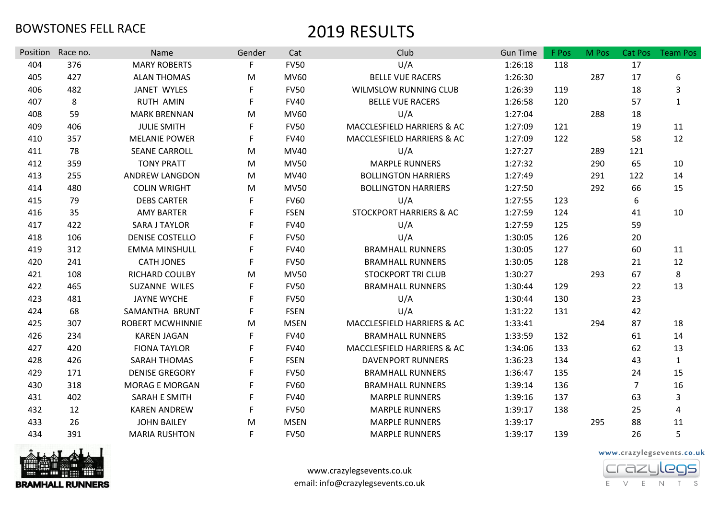| Position | Race no. | Name                    | Gender | Cat         | Club                               | <b>Gun Time</b> | F Pos | M Pos | Cat Pos        | <b>Team Pos</b> |
|----------|----------|-------------------------|--------|-------------|------------------------------------|-----------------|-------|-------|----------------|-----------------|
| 404      | 376      | <b>MARY ROBERTS</b>     | F      | <b>FV50</b> | U/A                                | 1:26:18         | 118   |       | 17             |                 |
| 405      | 427      | <b>ALAN THOMAS</b>      | M      | MV60        | <b>BELLE VUE RACERS</b>            | 1:26:30         |       | 287   | 17             | 6               |
| 406      | 482      | JANET WYLES             | F.     | <b>FV50</b> | <b>WILMSLOW RUNNING CLUB</b>       | 1:26:39         | 119   |       | 18             | 3               |
| 407      | 8        | <b>RUTH AMIN</b>        | F      | <b>FV40</b> | <b>BELLE VUE RACERS</b>            | 1:26:58         | 120   |       | 57             | $\mathbf{1}$    |
| 408      | 59       | <b>MARK BRENNAN</b>     | M      | MV60        | U/A                                | 1:27:04         |       | 288   | 18             |                 |
| 409      | 406      | <b>JULIE SMITH</b>      | F.     | <b>FV50</b> | MACCLESFIELD HARRIERS & AC         | 1:27:09         | 121   |       | 19             | 11              |
| 410      | 357      | <b>MELANIE POWER</b>    | F.     | <b>FV40</b> | MACCLESFIELD HARRIERS & AC         | 1:27:09         | 122   |       | 58             | 12              |
| 411      | 78       | <b>SEANE CARROLL</b>    | M      | MV40        | U/A                                | 1:27:27         |       | 289   | 121            |                 |
| 412      | 359      | <b>TONY PRATT</b>       | M      | <b>MV50</b> | <b>MARPLE RUNNERS</b>              | 1:27:32         |       | 290   | 65             | 10              |
| 413      | 255      | <b>ANDREW LANGDON</b>   | M      | MV40        | <b>BOLLINGTON HARRIERS</b>         | 1:27:49         |       | 291   | 122            | 14              |
| 414      | 480      | <b>COLIN WRIGHT</b>     | M      | <b>MV50</b> | <b>BOLLINGTON HARRIERS</b>         | 1:27:50         |       | 292   | 66             | 15              |
| 415      | 79       | <b>DEBS CARTER</b>      | F.     | <b>FV60</b> | U/A                                | 1:27:55         | 123   |       | 6              |                 |
| 416      | 35       | <b>AMY BARTER</b>       | F      | <b>FSEN</b> | <b>STOCKPORT HARRIERS &amp; AC</b> | 1:27:59         | 124   |       | 41             | 10              |
| 417      | 422      | <b>SARA J TAYLOR</b>    | F      | <b>FV40</b> | U/A                                | 1:27:59         | 125   |       | 59             |                 |
| 418      | 106      | <b>DENISE COSTELLO</b>  | F.     | <b>FV50</b> | U/A                                | 1:30:05         | 126   |       | 20             |                 |
| 419      | 312      | <b>EMMA MINSHULL</b>    | F      | <b>FV40</b> | <b>BRAMHALL RUNNERS</b>            | 1:30:05         | 127   |       | 60             | 11              |
| 420      | 241      | <b>CATH JONES</b>       | F      | <b>FV50</b> | <b>BRAMHALL RUNNERS</b>            | 1:30:05         | 128   |       | 21             | 12              |
| 421      | 108      | RICHARD COULBY          | M      | <b>MV50</b> | <b>STOCKPORT TRI CLUB</b>          | 1:30:27         |       | 293   | 67             | 8               |
| 422      | 465      | SUZANNE WILES           | F.     | <b>FV50</b> | <b>BRAMHALL RUNNERS</b>            | 1:30:44         | 129   |       | 22             | 13              |
| 423      | 481      | <b>JAYNE WYCHE</b>      |        | <b>FV50</b> | U/A                                | 1:30:44         | 130   |       | 23             |                 |
| 424      | 68       | SAMANTHA BRUNT          | F.     | <b>FSEN</b> | U/A                                | 1:31:22         | 131   |       | 42             |                 |
| 425      | 307      | <b>ROBERT MCWHINNIE</b> | M      | <b>MSEN</b> | MACCLESFIELD HARRIERS & AC         | 1:33:41         |       | 294   | 87             | 18              |
| 426      | 234      | <b>KAREN JAGAN</b>      | F      | <b>FV40</b> | <b>BRAMHALL RUNNERS</b>            | 1:33:59         | 132   |       | 61             | 14              |
| 427      | 420      | <b>FIONA TAYLOR</b>     | F.     | <b>FV40</b> | MACCLESFIELD HARRIERS & AC         | 1:34:06         | 133   |       | 62             | 13              |
| 428      | 426      | <b>SARAH THOMAS</b>     | F      | <b>FSEN</b> | <b>DAVENPORT RUNNERS</b>           | 1:36:23         | 134   |       | 43             | $\mathbf{1}$    |
| 429      | 171      | <b>DENISE GREGORY</b>   |        | <b>FV50</b> | <b>BRAMHALL RUNNERS</b>            | 1:36:47         | 135   |       | 24             | 15              |
| 430      | 318      | <b>MORAG E MORGAN</b>   | F.     | <b>FV60</b> | <b>BRAMHALL RUNNERS</b>            | 1:39:14         | 136   |       | $\overline{7}$ | 16              |
| 431      | 402      | <b>SARAH E SMITH</b>    | F.     | <b>FV40</b> | <b>MARPLE RUNNERS</b>              | 1:39:16         | 137   |       | 63             | 3               |
| 432      | 12       | <b>KAREN ANDREW</b>     |        | <b>FV50</b> | <b>MARPLE RUNNERS</b>              | 1:39:17         | 138   |       | 25             | 4               |
| 433      | 26       | <b>JOHN BAILEY</b>      | M      | <b>MSEN</b> | <b>MARPLE RUNNERS</b>              | 1:39:17         |       | 295   | 88             | 11              |
| 434      | 391      | <b>MARIA RUSHTON</b>    | F      | <b>FV50</b> | <b>MARPLE RUNNERS</b>              | 1:39:17         | 139   |       | 26             | 5               |